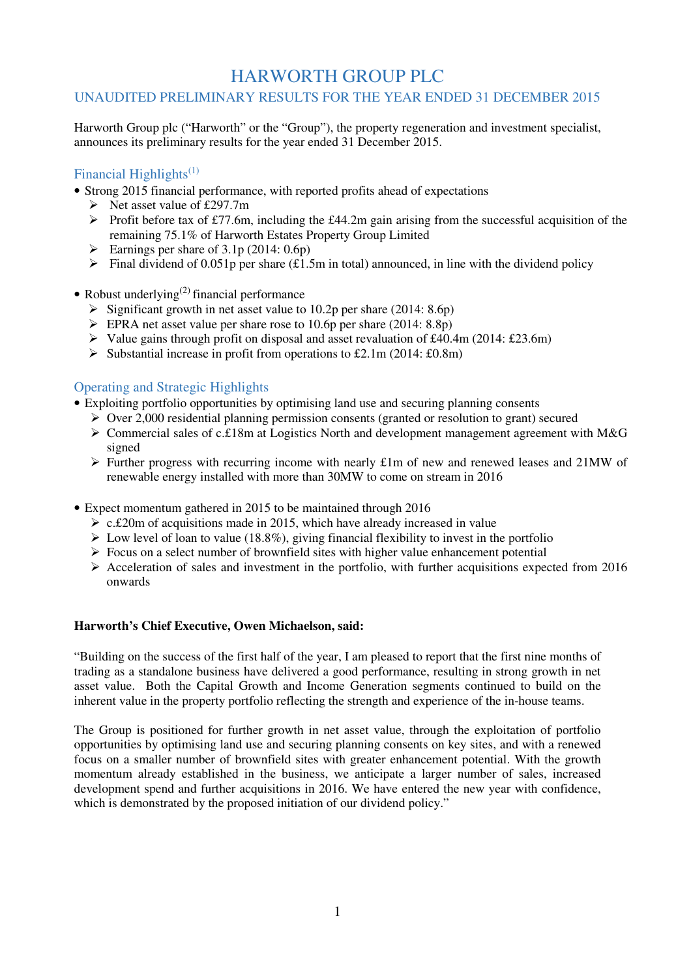## HARWORTH GROUP PLC

## UNAUDITED PRELIMINARY RESULTS FOR THE YEAR ENDED 31 DECEMBER 2015

Harworth Group plc ("Harworth" or the "Group"), the property regeneration and investment specialist, announces its preliminary results for the year ended 31 December 2015.

## Financial Highlights<sup> $(1)$ </sup>

- Strong 2015 financial performance, with reported profits ahead of expectations
	- $\triangleright$  Net asset value of £297.7m
	- $\triangleright$  Profit before tax of £77.6m, including the £44.2m gain arising from the successful acquisition of the remaining 75.1% of Harworth Estates Property Group Limited
	- Earnings per share of  $3.1p(2014:0.6p)$
	- $\triangleright$  Final dividend of 0.051p per share (£1.5m in total) announced, in line with the dividend policy
- Robust underlying<sup>(2)</sup> financial performance
	- $\triangleright$  Significant growth in net asset value to 10.2p per share (2014: 8.6p)
	- $\triangleright$  EPRA net asset value per share rose to 10.6p per share (2014: 8.8p)
	- $\triangleright$  Value gains through profit on disposal and asset revaluation of £40.4m (2014: £23.6m)
	- Substantial increase in profit from operations to £2.1m (2014: £0.8m)

## Operating and Strategic Highlights

- Exploiting portfolio opportunities by optimising land use and securing planning consents
	- $\triangleright$  Over 2,000 residential planning permission consents (granted or resolution to grant) secured
	- $\triangleright$  Commercial sales of c.£18m at Logistics North and development management agreement with M&G signed
	- $\triangleright$  Further progress with recurring income with nearly £1m of new and renewed leases and 21MW of renewable energy installed with more than 30MW to come on stream in 2016
- Expect momentum gathered in 2015 to be maintained through 2016
	- $\geq$  c.£20m of acquisitions made in 2015, which have already increased in value
	- $\triangleright$  Low level of loan to value (18.8%), giving financial flexibility to invest in the portfolio
	- $\triangleright$  Focus on a select number of brownfield sites with higher value enhancement potential
	- $\triangleright$  Acceleration of sales and investment in the portfolio, with further acquisitions expected from 2016 onwards

## **Harworth's Chief Executive, Owen Michaelson, said:**

"Building on the success of the first half of the year, I am pleased to report that the first nine months of trading as a standalone business have delivered a good performance, resulting in strong growth in net asset value. Both the Capital Growth and Income Generation segments continued to build on the inherent value in the property portfolio reflecting the strength and experience of the in-house teams.

The Group is positioned for further growth in net asset value, through the exploitation of portfolio opportunities by optimising land use and securing planning consents on key sites, and with a renewed focus on a smaller number of brownfield sites with greater enhancement potential. With the growth momentum already established in the business, we anticipate a larger number of sales, increased development spend and further acquisitions in 2016. We have entered the new year with confidence, which is demonstrated by the proposed initiation of our dividend policy."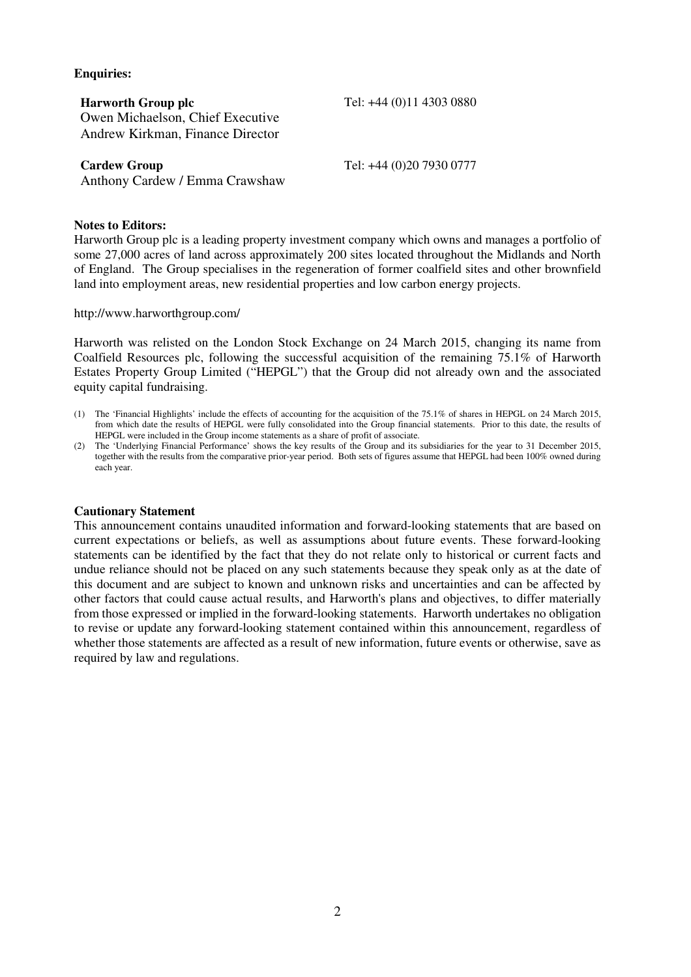## **Enquiries:**

| <b>Harworth Group plc</b>        |
|----------------------------------|
| Owen Michaelson, Chief Executive |
| Andrew Kirkman, Finance Director |

**Cardew Group Tel: +44 (0)20 7930 0777** 

**Harworth Group plc** Tel: +44 (0)11 4303 0880

Anthony Cardew / Emma Crawshaw

## **Notes to Editors:**

Harworth Group plc is a leading property investment company which owns and manages a portfolio of some 27,000 acres of land across approximately 200 sites located throughout the Midlands and North of England. The Group specialises in the regeneration of former coalfield sites and other brownfield land into employment areas, new residential properties and low carbon energy projects.

http://www.harworthgroup.com/

Harworth was relisted on the London Stock Exchange on 24 March 2015, changing its name from Coalfield Resources plc, following the successful acquisition of the remaining 75.1% of Harworth Estates Property Group Limited ("HEPGL") that the Group did not already own and the associated equity capital fundraising.

- (1) The 'Financial Highlights' include the effects of accounting for the acquisition of the 75.1% of shares in HEPGL on 24 March 2015, from which date the results of HEPGL were fully consolidated into the Group financial statements. Prior to this date, the results of HEPGL were included in the Group income statements as a share of profit of associate.
- (2) The 'Underlying Financial Performance' shows the key results of the Group and its subsidiaries for the year to 31 December 2015, together with the results from the comparative prior-year period. Both sets of figures assume that HEPGL had been 100% owned during each year.

## **Cautionary Statement**

This announcement contains unaudited information and forward-looking statements that are based on current expectations or beliefs, as well as assumptions about future events. These forward-looking statements can be identified by the fact that they do not relate only to historical or current facts and undue reliance should not be placed on any such statements because they speak only as at the date of this document and are subject to known and unknown risks and uncertainties and can be affected by other factors that could cause actual results, and Harworth's plans and objectives, to differ materially from those expressed or implied in the forward-looking statements. Harworth undertakes no obligation to revise or update any forward-looking statement contained within this announcement, regardless of whether those statements are affected as a result of new information, future events or otherwise, save as required by law and regulations.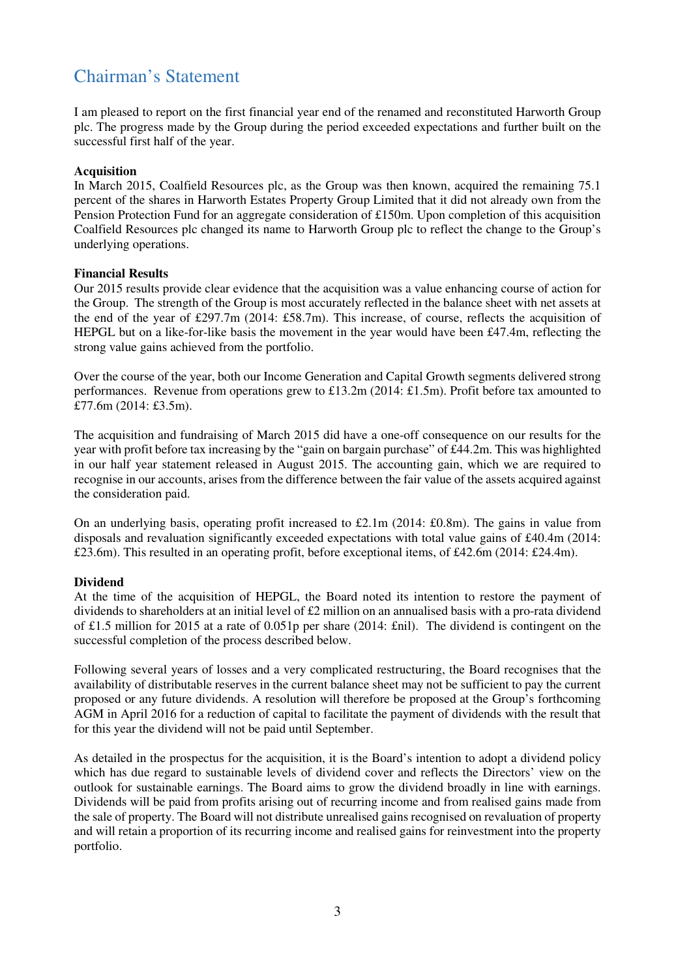## Chairman's Statement

I am pleased to report on the first financial year end of the renamed and reconstituted Harworth Group plc. The progress made by the Group during the period exceeded expectations and further built on the successful first half of the year.

## **Acquisition**

In March 2015, Coalfield Resources plc, as the Group was then known, acquired the remaining 75.1 percent of the shares in Harworth Estates Property Group Limited that it did not already own from the Pension Protection Fund for an aggregate consideration of £150m. Upon completion of this acquisition Coalfield Resources plc changed its name to Harworth Group plc to reflect the change to the Group's underlying operations.

## **Financial Results**

Our 2015 results provide clear evidence that the acquisition was a value enhancing course of action for the Group. The strength of the Group is most accurately reflected in the balance sheet with net assets at the end of the year of £297.7m (2014: £58.7m). This increase, of course, reflects the acquisition of HEPGL but on a like-for-like basis the movement in the year would have been  $\text{\pounds}47.4m$ , reflecting the strong value gains achieved from the portfolio.

Over the course of the year, both our Income Generation and Capital Growth segments delivered strong performances. Revenue from operations grew to £13.2m (2014: £1.5m). Profit before tax amounted to £77.6m (2014: £3.5m).

The acquisition and fundraising of March 2015 did have a one-off consequence on our results for the year with profit before tax increasing by the "gain on bargain purchase" of £44.2m. This was highlighted in our half year statement released in August 2015. The accounting gain, which we are required to recognise in our accounts, arises from the difference between the fair value of the assets acquired against the consideration paid.

On an underlying basis, operating profit increased to £2.1m (2014: £0.8m). The gains in value from disposals and revaluation significantly exceeded expectations with total value gains of £40.4m (2014: £23.6m). This resulted in an operating profit, before exceptional items, of £42.6m (2014: £24.4m).

## **Dividend**

At the time of the acquisition of HEPGL, the Board noted its intention to restore the payment of dividends to shareholders at an initial level of £2 million on an annualised basis with a pro-rata dividend of £1.5 million for 2015 at a rate of 0.051p per share (2014: £nil). The dividend is contingent on the successful completion of the process described below.

Following several years of losses and a very complicated restructuring, the Board recognises that the availability of distributable reserves in the current balance sheet may not be sufficient to pay the current proposed or any future dividends. A resolution will therefore be proposed at the Group's forthcoming AGM in April 2016 for a reduction of capital to facilitate the payment of dividends with the result that for this year the dividend will not be paid until September.

As detailed in the prospectus for the acquisition, it is the Board's intention to adopt a dividend policy which has due regard to sustainable levels of dividend cover and reflects the Directors' view on the outlook for sustainable earnings. The Board aims to grow the dividend broadly in line with earnings. Dividends will be paid from profits arising out of recurring income and from realised gains made from the sale of property. The Board will not distribute unrealised gains recognised on revaluation of property and will retain a proportion of its recurring income and realised gains for reinvestment into the property portfolio.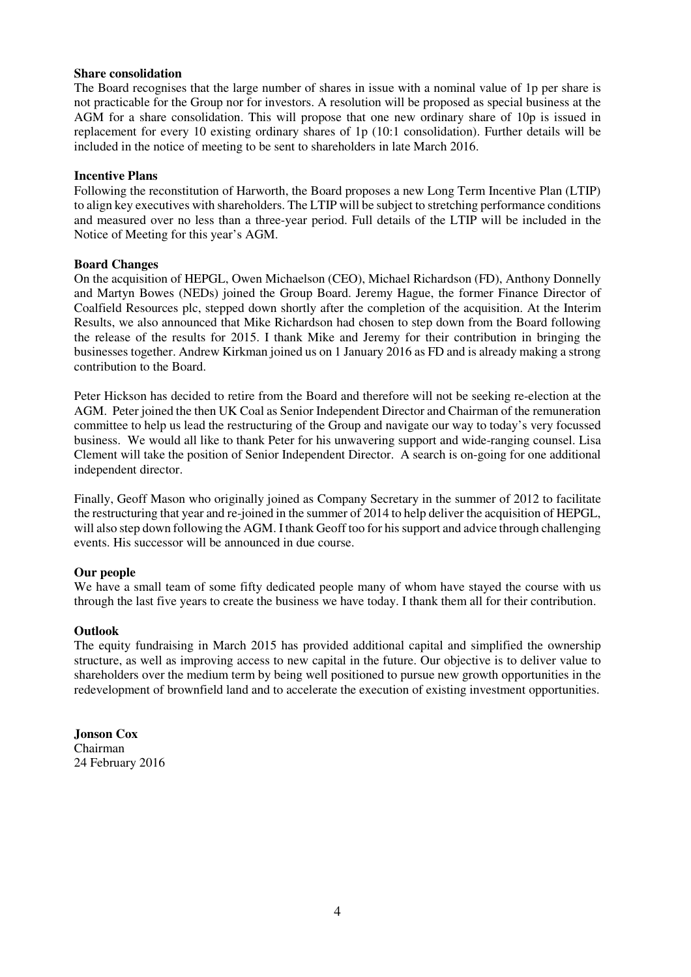## **Share consolidation**

The Board recognises that the large number of shares in issue with a nominal value of 1p per share is not practicable for the Group nor for investors. A resolution will be proposed as special business at the AGM for a share consolidation. This will propose that one new ordinary share of 10p is issued in replacement for every 10 existing ordinary shares of 1p (10:1 consolidation). Further details will be included in the notice of meeting to be sent to shareholders in late March 2016.

## **Incentive Plans**

Following the reconstitution of Harworth, the Board proposes a new Long Term Incentive Plan (LTIP) to align key executives with shareholders. The LTIP will be subject to stretching performance conditions and measured over no less than a three-year period. Full details of the LTIP will be included in the Notice of Meeting for this year's AGM.

## **Board Changes**

On the acquisition of HEPGL, Owen Michaelson (CEO), Michael Richardson (FD), Anthony Donnelly and Martyn Bowes (NEDs) joined the Group Board. Jeremy Hague, the former Finance Director of Coalfield Resources plc, stepped down shortly after the completion of the acquisition. At the Interim Results, we also announced that Mike Richardson had chosen to step down from the Board following the release of the results for 2015. I thank Mike and Jeremy for their contribution in bringing the businesses together. Andrew Kirkman joined us on 1 January 2016 as FD and is already making a strong contribution to the Board.

Peter Hickson has decided to retire from the Board and therefore will not be seeking re-election at the AGM. Peter joined the then UK Coal as Senior Independent Director and Chairman of the remuneration committee to help us lead the restructuring of the Group and navigate our way to today's very focussed business. We would all like to thank Peter for his unwavering support and wide-ranging counsel. Lisa Clement will take the position of Senior Independent Director. A search is on-going for one additional independent director.

Finally, Geoff Mason who originally joined as Company Secretary in the summer of 2012 to facilitate the restructuring that year and re-joined in the summer of 2014 to help deliver the acquisition of HEPGL, will also step down following the AGM. I thank Geoff too for his support and advice through challenging events. His successor will be announced in due course.

## **Our people**

We have a small team of some fifty dedicated people many of whom have stayed the course with us through the last five years to create the business we have today. I thank them all for their contribution.

## **Outlook**

The equity fundraising in March 2015 has provided additional capital and simplified the ownership structure, as well as improving access to new capital in the future. Our objective is to deliver value to shareholders over the medium term by being well positioned to pursue new growth opportunities in the redevelopment of brownfield land and to accelerate the execution of existing investment opportunities.

**Jonson Cox**  Chairman 24 February 2016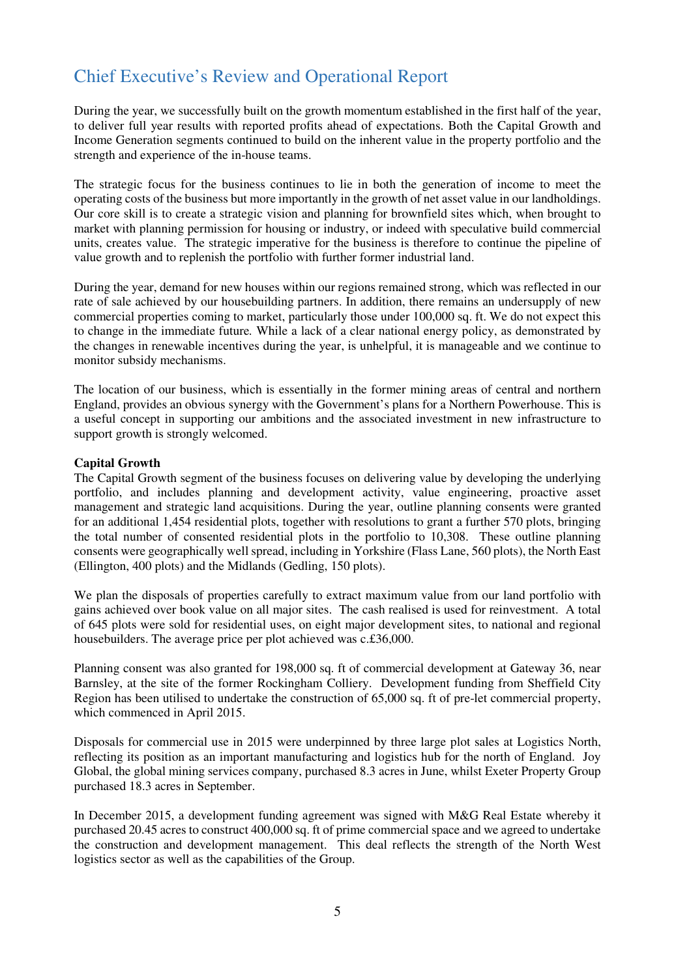## Chief Executive's Review and Operational Report

During the year, we successfully built on the growth momentum established in the first half of the year, to deliver full year results with reported profits ahead of expectations. Both the Capital Growth and Income Generation segments continued to build on the inherent value in the property portfolio and the strength and experience of the in-house teams.

The strategic focus for the business continues to lie in both the generation of income to meet the operating costs of the business but more importantly in the growth of net asset value in our landholdings. Our core skill is to create a strategic vision and planning for brownfield sites which, when brought to market with planning permission for housing or industry, or indeed with speculative build commercial units, creates value. The strategic imperative for the business is therefore to continue the pipeline of value growth and to replenish the portfolio with further former industrial land.

During the year, demand for new houses within our regions remained strong, which was reflected in our rate of sale achieved by our housebuilding partners. In addition, there remains an undersupply of new commercial properties coming to market, particularly those under 100,000 sq. ft. We do not expect this to change in the immediate future*.* While a lack of a clear national energy policy, as demonstrated by the changes in renewable incentives during the year, is unhelpful, it is manageable and we continue to monitor subsidy mechanisms.

The location of our business, which is essentially in the former mining areas of central and northern England, provides an obvious synergy with the Government's plans for a Northern Powerhouse. This is a useful concept in supporting our ambitions and the associated investment in new infrastructure to support growth is strongly welcomed.

## **Capital Growth**

The Capital Growth segment of the business focuses on delivering value by developing the underlying portfolio, and includes planning and development activity, value engineering, proactive asset management and strategic land acquisitions. During the year, outline planning consents were granted for an additional 1,454 residential plots, together with resolutions to grant a further 570 plots, bringing the total number of consented residential plots in the portfolio to 10,308. These outline planning consents were geographically well spread, including in Yorkshire (Flass Lane, 560 plots), the North East (Ellington, 400 plots) and the Midlands (Gedling, 150 plots).

We plan the disposals of properties carefully to extract maximum value from our land portfolio with gains achieved over book value on all major sites. The cash realised is used for reinvestment. A total of 645 plots were sold for residential uses, on eight major development sites, to national and regional housebuilders. The average price per plot achieved was c.£36,000.

Planning consent was also granted for 198,000 sq. ft of commercial development at Gateway 36, near Barnsley, at the site of the former Rockingham Colliery. Development funding from Sheffield City Region has been utilised to undertake the construction of 65,000 sq. ft of pre-let commercial property, which commenced in April 2015.

Disposals for commercial use in 2015 were underpinned by three large plot sales at Logistics North, reflecting its position as an important manufacturing and logistics hub for the north of England. Joy Global, the global mining services company, purchased 8.3 acres in June, whilst Exeter Property Group purchased 18.3 acres in September.

In December 2015, a development funding agreement was signed with M&G Real Estate whereby it purchased 20.45 acres to construct 400,000 sq. ft of prime commercial space and we agreed to undertake the construction and development management. This deal reflects the strength of the North West logistics sector as well as the capabilities of the Group.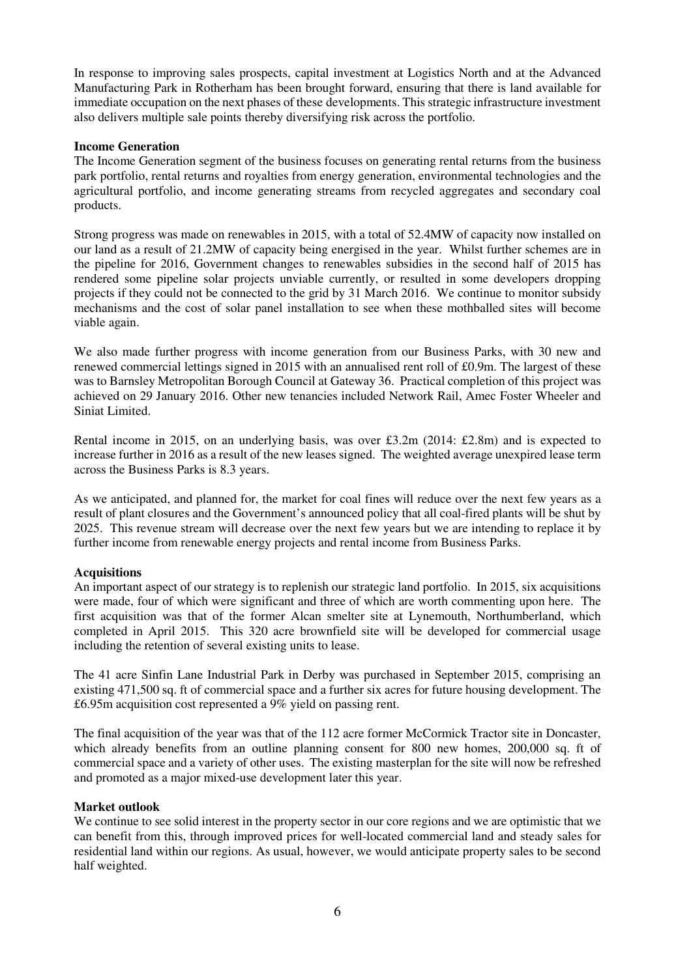In response to improving sales prospects, capital investment at Logistics North and at the Advanced Manufacturing Park in Rotherham has been brought forward, ensuring that there is land available for immediate occupation on the next phases of these developments. This strategic infrastructure investment also delivers multiple sale points thereby diversifying risk across the portfolio.

## **Income Generation**

The Income Generation segment of the business focuses on generating rental returns from the business park portfolio, rental returns and royalties from energy generation, environmental technologies and the agricultural portfolio, and income generating streams from recycled aggregates and secondary coal products.

Strong progress was made on renewables in 2015, with a total of 52.4MW of capacity now installed on our land as a result of 21.2MW of capacity being energised in the year. Whilst further schemes are in the pipeline for 2016, Government changes to renewables subsidies in the second half of 2015 has rendered some pipeline solar projects unviable currently, or resulted in some developers dropping projects if they could not be connected to the grid by 31 March 2016. We continue to monitor subsidy mechanisms and the cost of solar panel installation to see when these mothballed sites will become viable again.

We also made further progress with income generation from our Business Parks, with 30 new and renewed commercial lettings signed in 2015 with an annualised rent roll of £0.9m. The largest of these was to Barnsley Metropolitan Borough Council at Gateway 36. Practical completion of this project was achieved on 29 January 2016. Other new tenancies included Network Rail, Amec Foster Wheeler and Siniat Limited.

Rental income in 2015, on an underlying basis, was over £3.2m (2014: £2.8m) and is expected to increase further in 2016 as a result of the new leases signed. The weighted average unexpired lease term across the Business Parks is 8.3 years.

As we anticipated, and planned for, the market for coal fines will reduce over the next few years as a result of plant closures and the Government's announced policy that all coal-fired plants will be shut by 2025. This revenue stream will decrease over the next few years but we are intending to replace it by further income from renewable energy projects and rental income from Business Parks.

## **Acquisitions**

An important aspect of our strategy is to replenish our strategic land portfolio. In 2015, six acquisitions were made, four of which were significant and three of which are worth commenting upon here. The first acquisition was that of the former Alcan smelter site at Lynemouth, Northumberland, which completed in April 2015. This 320 acre brownfield site will be developed for commercial usage including the retention of several existing units to lease.

The 41 acre Sinfin Lane Industrial Park in Derby was purchased in September 2015, comprising an existing 471,500 sq. ft of commercial space and a further six acres for future housing development. The £6.95m acquisition cost represented a 9% yield on passing rent.

The final acquisition of the year was that of the 112 acre former McCormick Tractor site in Doncaster, which already benefits from an outline planning consent for 800 new homes, 200,000 sq. ft of commercial space and a variety of other uses. The existing masterplan for the site will now be refreshed and promoted as a major mixed-use development later this year.

## **Market outlook**

We continue to see solid interest in the property sector in our core regions and we are optimistic that we can benefit from this, through improved prices for well-located commercial land and steady sales for residential land within our regions. As usual, however, we would anticipate property sales to be second half weighted.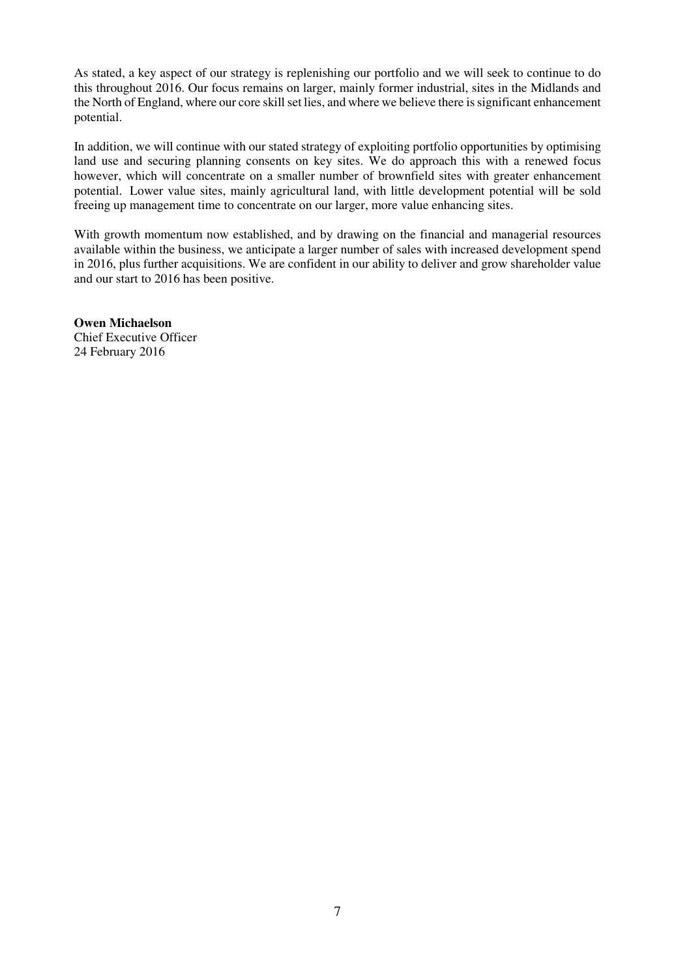As stated, a key aspect of our strategy is replenishing our portfolio and we will seek to continue to do this throughout 2016. Our focus remains on larger, mainly former industrial, sites in the Midlands and the North of England, where our core skill set lies, and where we believe there is significant enhancement potential.

In addition, we will continue with our stated strategy of exploiting portfolio opportunities by optimising land use and securing planning consents on key sites. We do approach this with a renewed focus however, which will concentrate on a smaller number of brownfield sites with greater enhancement potential. Lower value sites, mainly agricultural land, with little development potential will be sold freeing up management time to concentrate on our larger, more value enhancing sites.

With growth momentum now established, and by drawing on the financial and managerial resources available within the business, we anticipate a larger number of sales with increased development spend in 2016, plus further acquisitions. We are confident in our ability to deliver and grow shareholder value and our start to 2016 has been positive.

**Owen Michaelson**  Chief Executive Officer 24 February 2016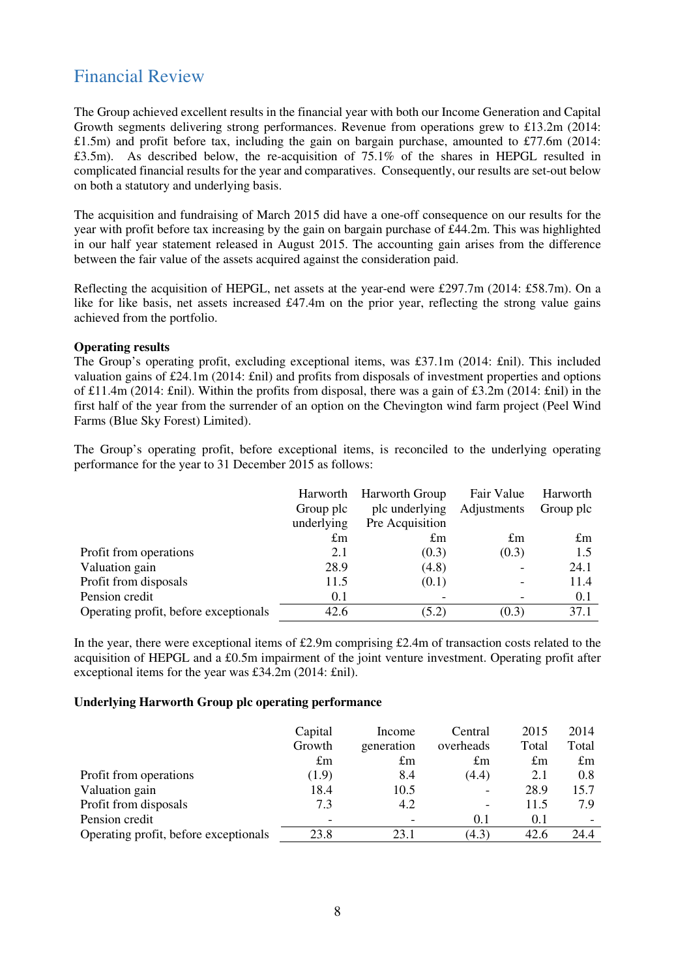## Financial Review

The Group achieved excellent results in the financial year with both our Income Generation and Capital Growth segments delivering strong performances. Revenue from operations grew to £13.2m (2014: £1.5m) and profit before tax, including the gain on bargain purchase, amounted to £77.6m (2014: £3.5m). As described below, the re-acquisition of 75.1% of the shares in HEPGL resulted in complicated financial results for the year and comparatives. Consequently, our results are set-out below on both a statutory and underlying basis.

The acquisition and fundraising of March 2015 did have a one-off consequence on our results for the year with profit before tax increasing by the gain on bargain purchase of £44.2m. This was highlighted in our half year statement released in August 2015. The accounting gain arises from the difference between the fair value of the assets acquired against the consideration paid.

Reflecting the acquisition of HEPGL, net assets at the year-end were £297.7m (2014: £58.7m). On a like for like basis, net assets increased £47.4m on the prior year, reflecting the strong value gains achieved from the portfolio.

## **Operating results**

The Group's operating profit, excluding exceptional items, was £37.1m (2014: £nil). This included valuation gains of £24.1m (2014: £nil) and profits from disposals of investment properties and options of £11.4m (2014: £nil). Within the profits from disposal, there was a gain of £3.2m (2014: £nil) in the first half of the year from the surrender of an option on the Chevington wind farm project (Peel Wind Farms (Blue Sky Forest) Limited).

The Group's operating profit, before exceptional items, is reconciled to the underlying operating performance for the year to 31 December 2015 as follows:

|                                       | Harworth    | <b>Harworth Group</b> | Fair Value  | Harworth    |
|---------------------------------------|-------------|-----------------------|-------------|-------------|
|                                       | Group plc   | plc underlying        | Adjustments | Group plc   |
|                                       | underlying  | Pre Acquisition       |             |             |
|                                       | $\pounds$ m | $\pm$ m               | $\pounds$ m | $\pounds$ m |
| Profit from operations                | 2.1         | (0.3)                 | (0.3)       | 1.5         |
| Valuation gain                        | 28.9        | (4.8)                 |             | 24.1        |
| Profit from disposals                 | 11.5        | (0.1)                 |             | 11.4        |
| Pension credit                        | 0.1         |                       |             | 0.1         |
| Operating profit, before exceptionals | 42.6        | (5.2)                 | (0.3)       | 37.1        |

In the year, there were exceptional items of £2.9m comprising £2.4m of transaction costs related to the acquisition of HEPGL and a £0.5m impairment of the joint venture investment. Operating profit after exceptional items for the year was £34.2m (2014: £nil).

## **Underlying Harworth Group plc operating performance**

|                                       | Capital<br>Growth    | Income<br>generation | Central<br>overheads     | 2015<br>Total      | 2014<br>Total      |
|---------------------------------------|----------------------|----------------------|--------------------------|--------------------|--------------------|
| Profit from operations                | $\pounds$ m<br>(1.9) | $\pounds$ m<br>8.4   | $\pounds$ m<br>(4.4)     | $\pounds$ m<br>2.1 | $\pounds$ m<br>0.8 |
| Valuation gain                        | 18.4                 | 10.5                 | $\overline{\phantom{a}}$ | 28.9               | 15.7               |
| Profit from disposals                 | 7.3                  | 4.2                  | $\overline{\phantom{a}}$ | 11.5               | 7.9                |
| Pension credit                        | -                    |                      | 0.1                      | 0.1                |                    |
| Operating profit, before exceptionals | 23.8                 | 23.1                 | (4.3)                    | 42.6               | 24.4               |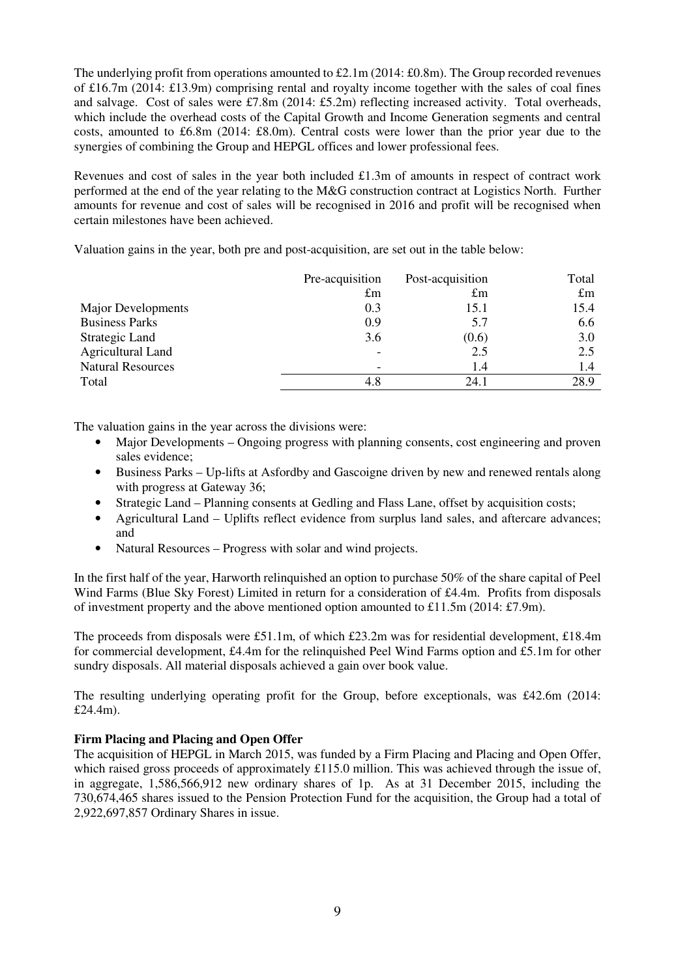The underlying profit from operations amounted to £2.1m (2014: £0.8m). The Group recorded revenues of £16.7m (2014: £13.9m) comprising rental and royalty income together with the sales of coal fines and salvage. Cost of sales were £7.8m (2014: £5.2m) reflecting increased activity. Total overheads, which include the overhead costs of the Capital Growth and Income Generation segments and central costs, amounted to £6.8m (2014: £8.0m). Central costs were lower than the prior year due to the synergies of combining the Group and HEPGL offices and lower professional fees.

Revenues and cost of sales in the year both included £1.3m of amounts in respect of contract work performed at the end of the year relating to the M&G construction contract at Logistics North. Further amounts for revenue and cost of sales will be recognised in 2016 and profit will be recognised when certain milestones have been achieved.

Valuation gains in the year, both pre and post-acquisition, are set out in the table below:

|                          | Pre-acquisition | Post-acquisition | Total       |
|--------------------------|-----------------|------------------|-------------|
|                          | $\pounds$ m     | $\pounds$ m      | $\pounds$ m |
| Major Developments       | 0.3             | 15.1             | 15.4        |
| <b>Business Parks</b>    | 0.9             | 5.7              | 6.6         |
| Strategic Land           | 3.6             | (0.6)            | 3.0         |
| <b>Agricultural Land</b> |                 | 2.5              | 2.5         |
| <b>Natural Resources</b> |                 | 1.4              | 1.4         |
| Total                    | 4.8             | 24.1             | 28.9        |

The valuation gains in the year across the divisions were:

- Major Developments Ongoing progress with planning consents, cost engineering and proven sales evidence;
- Business Parks Up-lifts at Asfordby and Gascoigne driven by new and renewed rentals along with progress at Gateway 36;
- Strategic Land Planning consents at Gedling and Flass Lane, offset by acquisition costs;
- Agricultural Land Uplifts reflect evidence from surplus land sales, and aftercare advances; and
- Natural Resources Progress with solar and wind projects.

In the first half of the year, Harworth relinquished an option to purchase 50% of the share capital of Peel Wind Farms (Blue Sky Forest) Limited in return for a consideration of £4.4m. Profits from disposals of investment property and the above mentioned option amounted to £11.5m (2014: £7.9m).

The proceeds from disposals were £51.1m, of which £23.2m was for residential development, £18.4m for commercial development, £4.4m for the relinquished Peel Wind Farms option and £5.1m for other sundry disposals. All material disposals achieved a gain over book value.

The resulting underlying operating profit for the Group, before exceptionals, was £42.6m (2014: £24.4m).

## **Firm Placing and Placing and Open Offer**

The acquisition of HEPGL in March 2015, was funded by a Firm Placing and Placing and Open Offer, which raised gross proceeds of approximately  $\pounds$ 115.0 million. This was achieved through the issue of, in aggregate, 1,586,566,912 new ordinary shares of 1p. As at 31 December 2015, including the 730,674,465 shares issued to the Pension Protection Fund for the acquisition, the Group had a total of 2,922,697,857 Ordinary Shares in issue.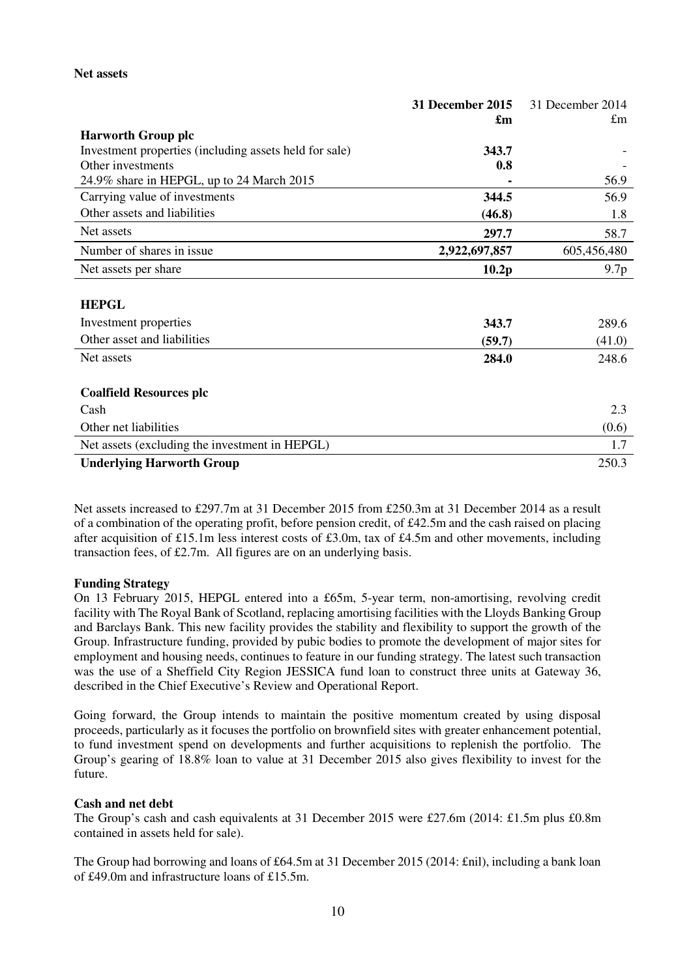## **Net assets**

|                                                        | 31 December 2015 | 31 December 2014 |
|--------------------------------------------------------|------------------|------------------|
|                                                        | £m               | £m               |
| <b>Harworth Group plc</b>                              |                  |                  |
| Investment properties (including assets held for sale) | 343.7            |                  |
| Other investments                                      | 0.8              |                  |
| 24.9% share in HEPGL, up to 24 March 2015              |                  | 56.9             |
| Carrying value of investments                          | 344.5            | 56.9             |
| Other assets and liabilities                           | (46.8)           | 1.8              |
| Net assets                                             | 297.7            | 58.7             |
| Number of shares in issue                              | 2,922,697,857    | 605,456,480      |
| Net assets per share                                   | 10.2p            | 9.7p             |
|                                                        |                  |                  |
| <b>HEPGL</b>                                           |                  |                  |
| Investment properties                                  | 343.7            | 289.6            |
| Other asset and liabilities                            | (59.7)           | (41.0)           |
| Net assets                                             | 284.0            | 248.6            |
| <b>Coalfield Resources plc</b>                         |                  |                  |
| Cash                                                   |                  | 2.3              |
| Other net liabilities                                  |                  | (0.6)            |
| Net assets (excluding the investment in HEPGL)         |                  | 1.7              |
| <b>Underlying Harworth Group</b>                       |                  | 250.3            |

Net assets increased to £297.7m at 31 December 2015 from £250.3m at 31 December 2014 as a result of a combination of the operating profit, before pension credit, of £42.5m and the cash raised on placing after acquisition of £15.1m less interest costs of £3.0m, tax of £4.5m and other movements, including transaction fees, of £2.7m. All figures are on an underlying basis.

## **Funding Strategy**

On 13 February 2015, HEPGL entered into a £65m, 5-year term, non-amortising, revolving credit facility with The Royal Bank of Scotland, replacing amortising facilities with the Lloyds Banking Group and Barclays Bank. This new facility provides the stability and flexibility to support the growth of the Group. Infrastructure funding, provided by pubic bodies to promote the development of major sites for employment and housing needs, continues to feature in our funding strategy. The latest such transaction was the use of a Sheffield City Region JESSICA fund loan to construct three units at Gateway 36, described in the Chief Executive's Review and Operational Report.

Going forward, the Group intends to maintain the positive momentum created by using disposal proceeds, particularly as it focuses the portfolio on brownfield sites with greater enhancement potential, to fund investment spend on developments and further acquisitions to replenish the portfolio. The Group's gearing of 18.8% loan to value at 31 December 2015 also gives flexibility to invest for the future.

## **Cash and net debt**

The Group's cash and cash equivalents at 31 December 2015 were £27.6m (2014: £1.5m plus £0.8m contained in assets held for sale).

The Group had borrowing and loans of £64.5m at 31 December 2015 (2014: £nil), including a bank loan of £49.0m and infrastructure loans of £15.5m.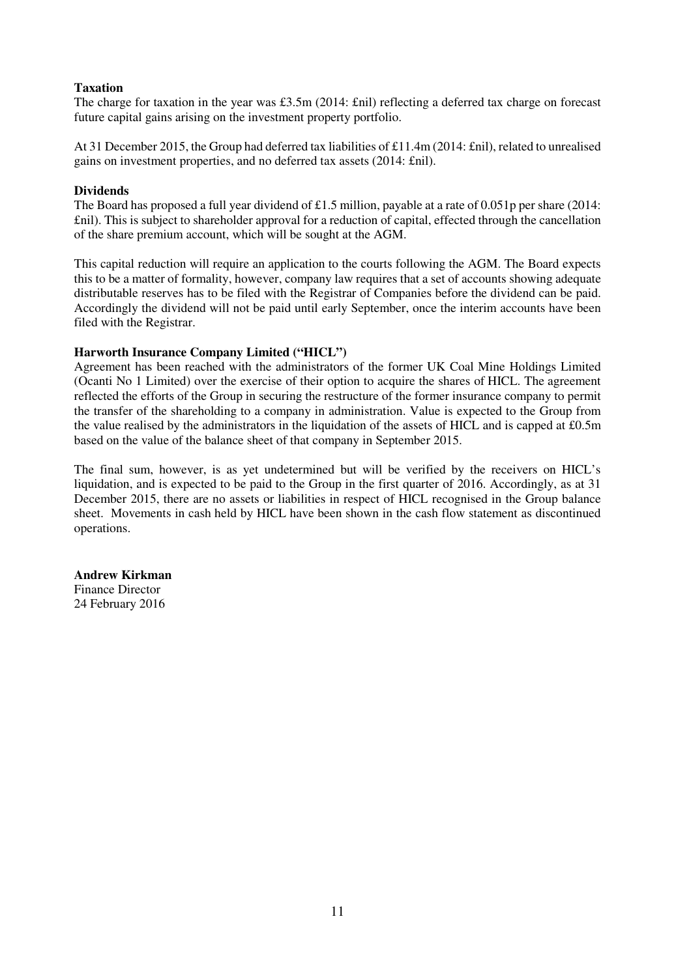## **Taxation**

The charge for taxation in the year was £3.5m (2014: £nil) reflecting a deferred tax charge on forecast future capital gains arising on the investment property portfolio.

At 31 December 2015, the Group had deferred tax liabilities of £11.4m (2014: £nil), related to unrealised gains on investment properties, and no deferred tax assets (2014: £nil).

## **Dividends**

The Board has proposed a full year dividend of £1.5 million, payable at a rate of 0.051p per share (2014: £nil). This is subject to shareholder approval for a reduction of capital, effected through the cancellation of the share premium account, which will be sought at the AGM.

This capital reduction will require an application to the courts following the AGM. The Board expects this to be a matter of formality, however, company law requires that a set of accounts showing adequate distributable reserves has to be filed with the Registrar of Companies before the dividend can be paid. Accordingly the dividend will not be paid until early September, once the interim accounts have been filed with the Registrar.

## **Harworth Insurance Company Limited ("HICL")**

Agreement has been reached with the administrators of the former UK Coal Mine Holdings Limited (Ocanti No 1 Limited) over the exercise of their option to acquire the shares of HICL. The agreement reflected the efforts of the Group in securing the restructure of the former insurance company to permit the transfer of the shareholding to a company in administration. Value is expected to the Group from the value realised by the administrators in the liquidation of the assets of HICL and is capped at £0.5m based on the value of the balance sheet of that company in September 2015.

The final sum, however, is as yet undetermined but will be verified by the receivers on HICL's liquidation, and is expected to be paid to the Group in the first quarter of 2016. Accordingly, as at 31 December 2015, there are no assets or liabilities in respect of HICL recognised in the Group balance sheet. Movements in cash held by HICL have been shown in the cash flow statement as discontinued operations.

## **Andrew Kirkman**  Finance Director 24 February 2016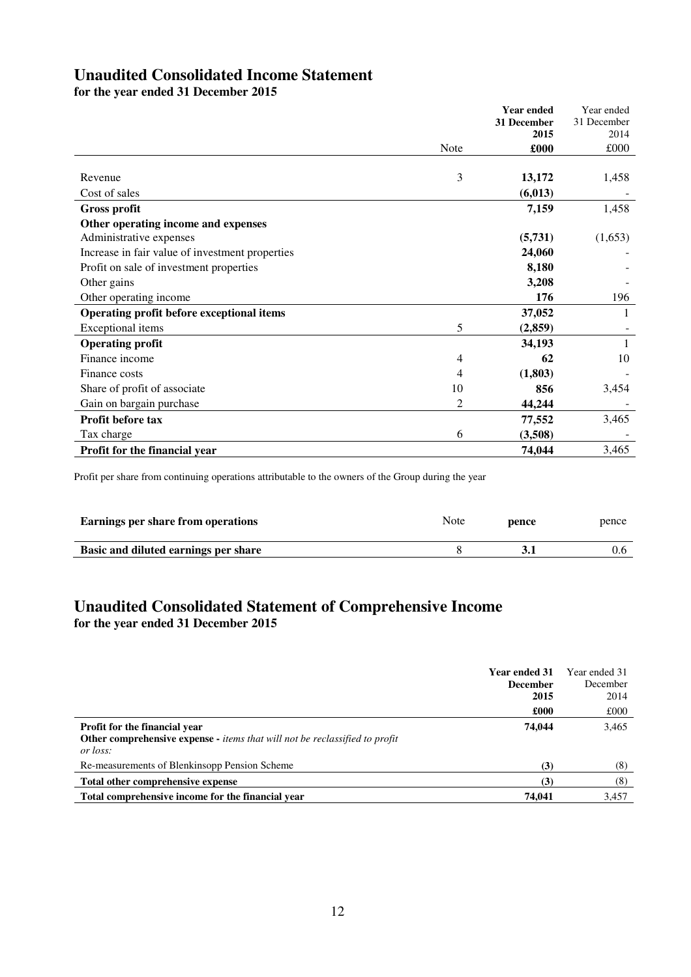## **Unaudited Consolidated Income Statement**

**for the year ended 31 December 2015**

|                                                 |                | <b>Year ended</b> | Year ended  |
|-------------------------------------------------|----------------|-------------------|-------------|
|                                                 |                | 31 December       | 31 December |
|                                                 |                | 2015              | 2014        |
|                                                 | Note           | £000              | £000        |
|                                                 |                |                   |             |
| Revenue                                         | 3              | 13,172            | 1,458       |
| Cost of sales                                   |                | (6, 013)          |             |
| <b>Gross profit</b>                             |                | 7,159             | 1,458       |
| Other operating income and expenses             |                |                   |             |
| Administrative expenses                         |                | (5,731)           | (1,653)     |
| Increase in fair value of investment properties |                | 24,060            |             |
| Profit on sale of investment properties         |                | 8,180             |             |
| Other gains                                     |                | 3,208             |             |
| Other operating income                          |                | 176               | 196         |
| Operating profit before exceptional items       |                | 37,052            | 1           |
| Exceptional items                               | 5              | (2,859)           |             |
| <b>Operating profit</b>                         |                | 34,193            |             |
| Finance income                                  | 4              | 62                | 10          |
| Finance costs                                   | 4              | (1,803)           |             |
| Share of profit of associate                    | 10             | 856               | 3,454       |
| Gain on bargain purchase                        | $\overline{2}$ | 44,244            |             |
| Profit before tax                               |                | 77,552            | 3,465       |
| Tax charge                                      | 6              | (3,508)           |             |
| <b>Profit for the financial year</b>            |                | 74,044            | 3,465       |

Profit per share from continuing operations attributable to the owners of the Group during the year

| Earnings per share from operations   | Note | pence | pence |
|--------------------------------------|------|-------|-------|
| Basic and diluted earnings per share |      |       |       |

## **Unaudited Consolidated Statement of Comprehensive Income for the year ended 31 December 2015**

|                                                                                                                                               | <b>Year ended 31</b><br><b>December</b><br>2015 | Year ended 31<br>December<br>2014 |
|-----------------------------------------------------------------------------------------------------------------------------------------------|-------------------------------------------------|-----------------------------------|
|                                                                                                                                               | £000                                            | £000                              |
| <b>Profit for the financial year</b><br><b>Other comprehensive expense -</b> <i>items that will not be reclassified to profit</i><br>or loss: | 74,044                                          | 3,465                             |
| Re-measurements of Blenkinsopp Pension Scheme                                                                                                 | (3)                                             | (8)                               |
| Total other comprehensive expense                                                                                                             | (3)                                             | (8)                               |
| Total comprehensive income for the financial year                                                                                             | 74.041                                          | 3.457                             |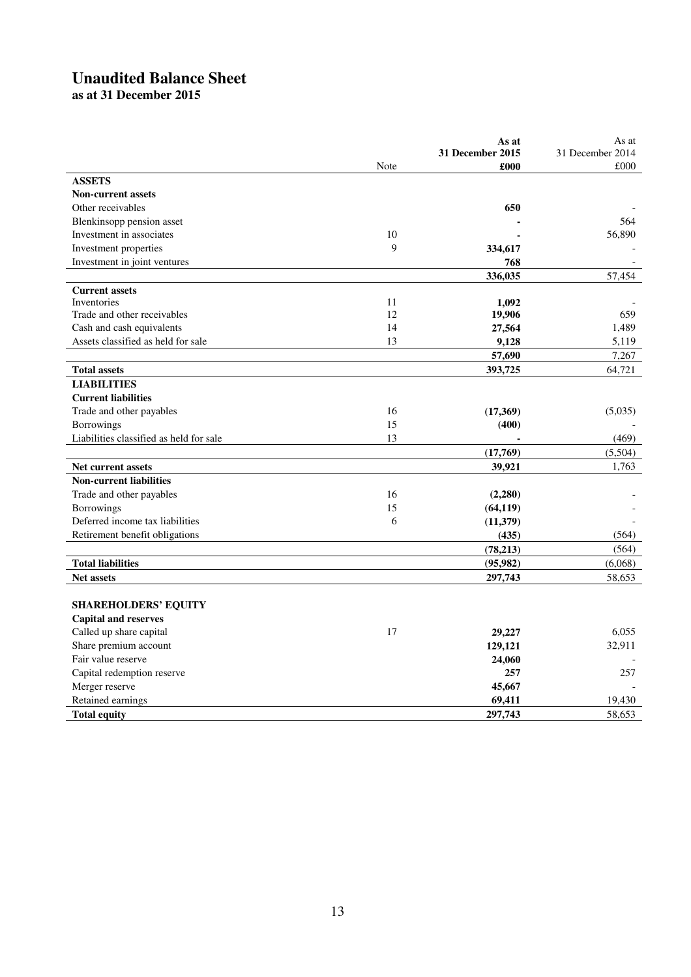# **Unaudited Balance Sheet**

**as at 31 December 2015** 

|                                         |      | As at<br><b>31 December 2015</b> | As at<br>31 December 2014 |
|-----------------------------------------|------|----------------------------------|---------------------------|
|                                         | Note | £000                             | £000                      |
| <b>ASSETS</b>                           |      |                                  |                           |
| <b>Non-current assets</b>               |      |                                  |                           |
| Other receivables                       |      | 650                              |                           |
| Blenkinsopp pension asset               |      |                                  | 564                       |
| Investment in associates                | 10   |                                  | 56,890                    |
| Investment properties                   | 9    | 334,617                          |                           |
| Investment in joint ventures            |      | 768                              |                           |
|                                         |      | 336,035                          | 57,454                    |
| <b>Current assets</b>                   |      |                                  |                           |
| Inventories                             | 11   | 1,092                            |                           |
| Trade and other receivables             | 12   | 19,906                           | 659                       |
| Cash and cash equivalents               | 14   | 27,564                           | 1,489                     |
| Assets classified as held for sale      | 13   | 9,128                            | 5,119                     |
|                                         |      | 57,690                           | 7,267                     |
| <b>Total assets</b>                     |      | 393,725                          | 64,721                    |
| <b>LIABILITIES</b>                      |      |                                  |                           |
| <b>Current liabilities</b>              |      |                                  |                           |
| Trade and other payables                | 16   | (17,369)                         | (5,035)                   |
| <b>Borrowings</b>                       | 15   | (400)                            |                           |
| Liabilities classified as held for sale | 13   |                                  | (469)                     |
|                                         |      | (17,769)                         | (5,504)                   |
| Net current assets                      |      | 39,921                           | 1,763                     |
| <b>Non-current liabilities</b>          |      |                                  |                           |
| Trade and other payables                | 16   | (2,280)                          |                           |
| Borrowings                              | 15   | (64, 119)                        |                           |
| Deferred income tax liabilities         | 6    | (11,379)                         |                           |
| Retirement benefit obligations          |      | (435)                            | (564)                     |
|                                         |      | (78, 213)                        | (564)                     |
| <b>Total liabilities</b>                |      | (95, 982)                        | (6,068)                   |
| Net assets                              |      | 297,743                          | 58,653                    |
|                                         |      |                                  |                           |
| <b>SHAREHOLDERS' EQUITY</b>             |      |                                  |                           |
| <b>Capital and reserves</b>             |      |                                  |                           |
| Called up share capital                 | 17   | 29,227                           | 6.055                     |
| Share premium account                   |      | 129,121                          | 32,911                    |
| Fair value reserve                      |      | 24,060                           |                           |
| Capital redemption reserve              |      | 257                              | 257                       |
| Merger reserve                          |      | 45,667                           |                           |
| Retained earnings                       |      | 69,411                           | 19,430                    |
| <b>Total equity</b>                     |      | 297,743                          | 58,653                    |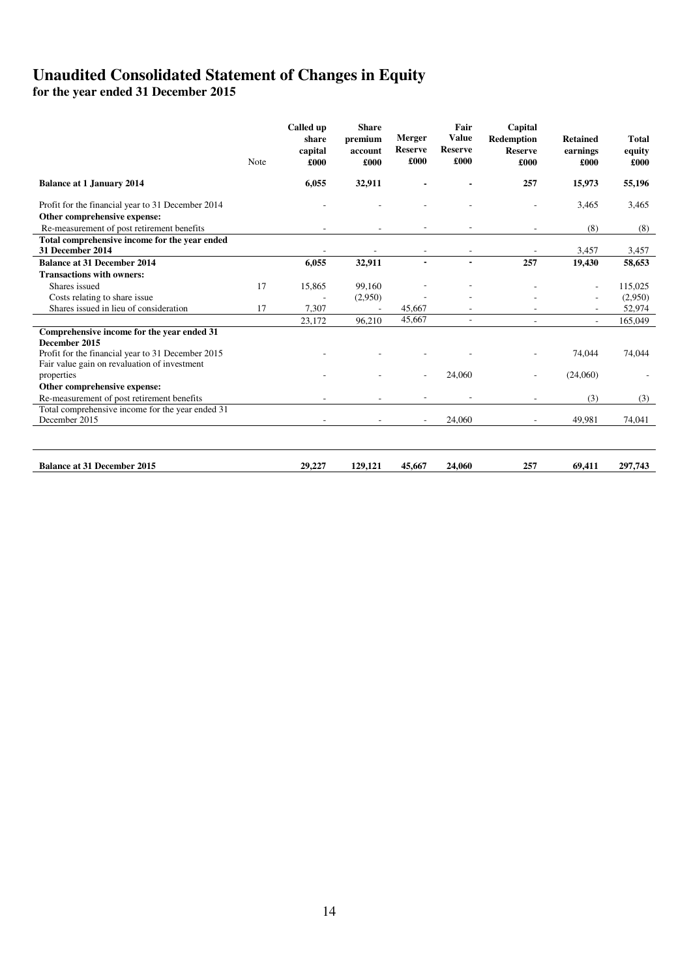## **Unaudited Consolidated Statement of Changes in Equity**

**for the year ended 31 December 2015**

|                                                                                                   | Note | Called up<br>share<br>capital<br>£000 | <b>Share</b><br>premium<br>account<br>£000 | <b>Merger</b><br><b>Reserve</b><br>£000 | Fair<br><b>Value</b><br><b>Reserve</b><br>£000 | Capital<br><b>Redemption</b><br><b>Reserve</b><br>£000 | <b>Retained</b><br>earnings<br>£000 | <b>Total</b><br>equity<br>£000 |
|---------------------------------------------------------------------------------------------------|------|---------------------------------------|--------------------------------------------|-----------------------------------------|------------------------------------------------|--------------------------------------------------------|-------------------------------------|--------------------------------|
| <b>Balance at 1 January 2014</b>                                                                  |      | 6,055                                 | 32,911                                     |                                         |                                                | 257                                                    | 15,973                              | 55,196                         |
| Profit for the financial year to 31 December 2014                                                 |      |                                       |                                            |                                         |                                                |                                                        | 3,465                               | 3,465                          |
| Other comprehensive expense:                                                                      |      |                                       |                                            |                                         |                                                |                                                        |                                     |                                |
| Re-measurement of post retirement benefits                                                        |      |                                       |                                            |                                         |                                                |                                                        | (8)                                 | (8)                            |
| Total comprehensive income for the year ended                                                     |      |                                       |                                            |                                         |                                                |                                                        |                                     |                                |
| 31 December 2014                                                                                  |      |                                       |                                            |                                         |                                                |                                                        | 3,457                               | 3,457                          |
| <b>Balance at 31 December 2014</b>                                                                |      | 6.055                                 | 32,911                                     | $\blacksquare$                          | $\blacksquare$                                 | 257                                                    | 19,430                              | 58,653                         |
| <b>Transactions with owners:</b>                                                                  |      |                                       |                                            |                                         |                                                |                                                        |                                     |                                |
| Shares issued                                                                                     | 17   | 15,865                                | 99,160                                     |                                         |                                                |                                                        | $\overline{\phantom{a}}$            | 115,025                        |
| Costs relating to share issue                                                                     |      |                                       | (2,950)                                    |                                         |                                                |                                                        |                                     | (2,950)                        |
| Shares issued in lieu of consideration                                                            | 17   | 7,307                                 |                                            | 45,667                                  |                                                |                                                        |                                     | 52,974                         |
|                                                                                                   |      | 23.172                                | 96,210                                     | 45.667                                  | ÷                                              |                                                        |                                     | 165,049                        |
| Comprehensive income for the year ended 31<br>December 2015                                       |      |                                       |                                            |                                         |                                                |                                                        |                                     |                                |
| Profit for the financial year to 31 December 2015<br>Fair value gain on revaluation of investment |      |                                       |                                            |                                         |                                                |                                                        | 74,044                              | 74,044                         |
| properties                                                                                        |      |                                       |                                            |                                         | 24,060                                         |                                                        | (24,060)                            |                                |
| Other comprehensive expense:                                                                      |      |                                       |                                            |                                         |                                                |                                                        |                                     |                                |
| Re-measurement of post retirement benefits                                                        |      |                                       |                                            |                                         |                                                |                                                        | (3)                                 | (3)                            |
| Total comprehensive income for the year ended 31                                                  |      |                                       |                                            |                                         |                                                |                                                        |                                     |                                |
| December 2015                                                                                     |      |                                       |                                            |                                         | 24,060                                         |                                                        | 49,981                              | 74,041                         |
|                                                                                                   |      |                                       |                                            |                                         |                                                |                                                        |                                     |                                |
| <b>Balance at 31 December 2015</b>                                                                |      | 29,227                                | 129,121                                    | 45,667                                  | 24,060                                         | 257                                                    | 69,411                              | 297,743                        |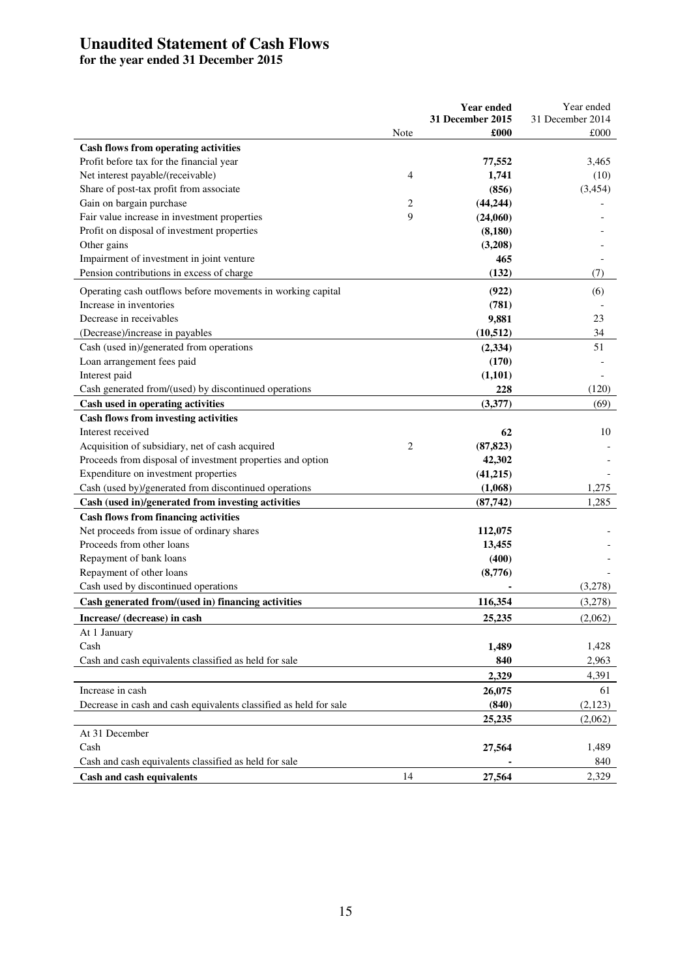## **Unaudited Statement of Cash Flows**

**for the year ended 31 December 2015** 

|                                                                                                               |                | <b>Year ended</b><br>31 December 2015 | Year ended<br>31 December 2014 |
|---------------------------------------------------------------------------------------------------------------|----------------|---------------------------------------|--------------------------------|
|                                                                                                               | Note           | £000                                  | £000                           |
| <b>Cash flows from operating activities</b>                                                                   |                |                                       |                                |
| Profit before tax for the financial year                                                                      |                | 77,552                                | 3,465                          |
| Net interest payable/(receivable)                                                                             | 4              | 1,741                                 | (10)                           |
| Share of post-tax profit from associate                                                                       |                | (856)                                 | (3, 454)                       |
| Gain on bargain purchase                                                                                      | $\overline{2}$ | (44, 244)                             |                                |
| Fair value increase in investment properties                                                                  | 9              | (24,060)                              |                                |
| Profit on disposal of investment properties                                                                   |                | (8, 180)                              |                                |
| Other gains                                                                                                   |                | (3,208)                               |                                |
| Impairment of investment in joint venture                                                                     |                | 465                                   |                                |
| Pension contributions in excess of charge                                                                     |                | (132)                                 | (7)                            |
| Operating cash outflows before movements in working capital                                                   |                | (922)                                 | (6)                            |
| Increase in inventories                                                                                       |                | (781)                                 |                                |
| Decrease in receivables                                                                                       |                | 9,881                                 | 23                             |
| (Decrease)/increase in payables                                                                               |                | (10, 512)                             | 34                             |
| Cash (used in)/generated from operations                                                                      |                | (2, 334)                              | 51                             |
| Loan arrangement fees paid                                                                                    |                | (170)                                 |                                |
| Interest paid                                                                                                 |                | (1, 101)                              |                                |
| Cash generated from/(used) by discontinued operations                                                         |                | 228                                   | (120)                          |
| Cash used in operating activities                                                                             |                | (3,377)                               | (69)                           |
| <b>Cash flows from investing activities</b>                                                                   |                |                                       |                                |
| Interest received                                                                                             | $\overline{2}$ | 62                                    | 10                             |
| Acquisition of subsidiary, net of cash acquired<br>Proceeds from disposal of investment properties and option |                | (87, 823)                             |                                |
| Expenditure on investment properties                                                                          |                | 42,302<br>(41,215)                    |                                |
| Cash (used by)/generated from discontinued operations                                                         |                | (1,068)                               | 1,275                          |
| Cash (used in)/generated from investing activities                                                            |                | (87,742)                              | 1,285                          |
| <b>Cash flows from financing activities</b>                                                                   |                |                                       |                                |
| Net proceeds from issue of ordinary shares                                                                    |                | 112,075                               |                                |
| Proceeds from other loans                                                                                     |                | 13,455                                |                                |
| Repayment of bank loans                                                                                       |                | (400)                                 |                                |
| Repayment of other loans                                                                                      |                | (8,776)                               |                                |
| Cash used by discontinued operations                                                                          |                |                                       | (3,278)                        |
| Cash generated from/(used in) financing activities                                                            |                | 116,354                               | (3,278)                        |
| Increase/ (decrease) in cash                                                                                  |                | 25.235                                | (2,062)                        |
| At 1 January                                                                                                  |                |                                       |                                |
| Cash                                                                                                          |                | 1,489                                 | 1,428                          |
| Cash and cash equivalents classified as held for sale                                                         |                | 840                                   | 2,963                          |
|                                                                                                               |                | 2,329                                 | 4,391                          |
| Increase in cash                                                                                              |                | 26,075                                | 61                             |
| Decrease in cash and cash equivalents classified as held for sale                                             |                | (840)                                 | (2,123)                        |
|                                                                                                               |                | 25,235                                | (2,062)                        |
| At 31 December                                                                                                |                |                                       |                                |
| Cash                                                                                                          |                | 27,564                                | 1,489                          |
| Cash and cash equivalents classified as held for sale                                                         |                |                                       | 840                            |
| Cash and cash equivalents                                                                                     | 14             | 27,564                                | 2,329                          |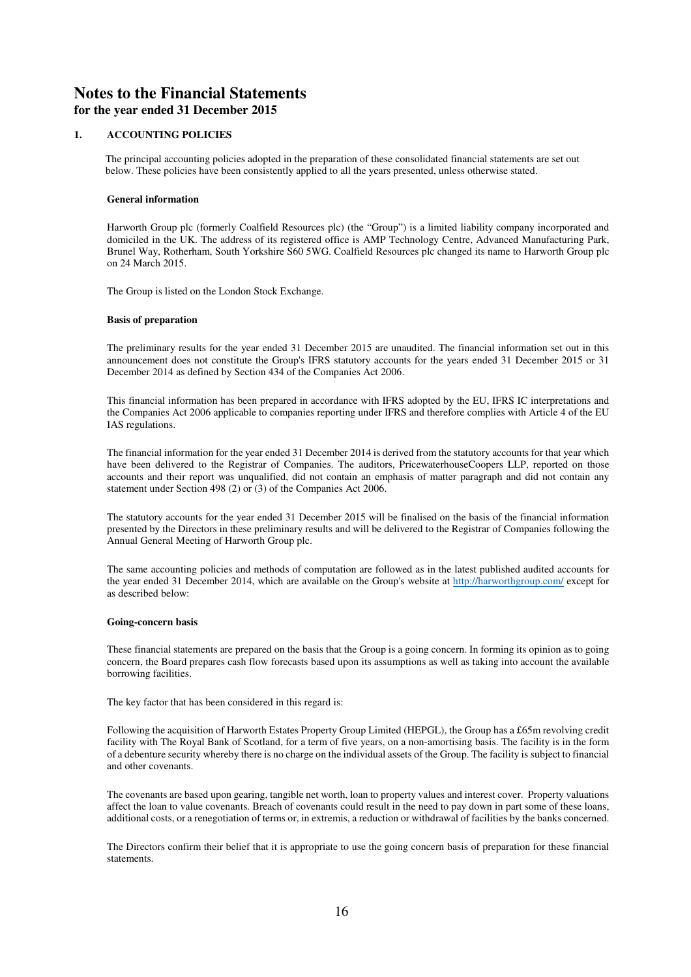## **Notes to the Financial Statements for the year ended 31 December 2015**

### **1. ACCOUNTING POLICIES**

The principal accounting policies adopted in the preparation of these consolidated financial statements are set out below. These policies have been consistently applied to all the years presented, unless otherwise stated.

#### **General information**

Harworth Group plc (formerly Coalfield Resources plc) (the "Group") is a limited liability company incorporated and domiciled in the UK. The address of its registered office is AMP Technology Centre, Advanced Manufacturing Park, Brunel Way, Rotherham, South Yorkshire S60 5WG. Coalfield Resources plc changed its name to Harworth Group plc on 24 March 2015.

The Group is listed on the London Stock Exchange.

#### **Basis of preparation**

The preliminary results for the year ended 31 December 2015 are unaudited. The financial information set out in this announcement does not constitute the Group's IFRS statutory accounts for the years ended 31 December 2015 or 31 December 2014 as defined by Section 434 of the Companies Act 2006.

This financial information has been prepared in accordance with IFRS adopted by the EU, IFRS IC interpretations and the Companies Act 2006 applicable to companies reporting under IFRS and therefore complies with Article 4 of the EU IAS regulations.

The financial information for the year ended 31 December 2014 is derived from the statutory accounts for that year which have been delivered to the Registrar of Companies. The auditors, PricewaterhouseCoopers LLP, reported on those accounts and their report was unqualified, did not contain an emphasis of matter paragraph and did not contain any statement under Section 498 (2) or (3) of the Companies Act 2006.

The statutory accounts for the year ended 31 December 2015 will be finalised on the basis of the financial information presented by the Directors in these preliminary results and will be delivered to the Registrar of Companies following the Annual General Meeting of Harworth Group plc.

The same accounting policies and methods of computation are followed as in the latest published audited accounts for the year ended 31 December 2014, which are available on the Group's website at http://harworthgroup.com/ except for as described below:

#### **Going-concern basis**

These financial statements are prepared on the basis that the Group is a going concern. In forming its opinion as to going concern, the Board prepares cash flow forecasts based upon its assumptions as well as taking into account the available borrowing facilities.

The key factor that has been considered in this regard is:

Following the acquisition of Harworth Estates Property Group Limited (HEPGL), the Group has a £65m revolving credit facility with The Royal Bank of Scotland, for a term of five years, on a non-amortising basis. The facility is in the form of a debenture security whereby there is no charge on the individual assets of the Group. The facility is subject to financial and other covenants.

The covenants are based upon gearing, tangible net worth, loan to property values and interest cover. Property valuations affect the loan to value covenants. Breach of covenants could result in the need to pay down in part some of these loans, additional costs, or a renegotiation of terms or, in extremis, a reduction or withdrawal of facilities by the banks concerned.

The Directors confirm their belief that it is appropriate to use the going concern basis of preparation for these financial statements.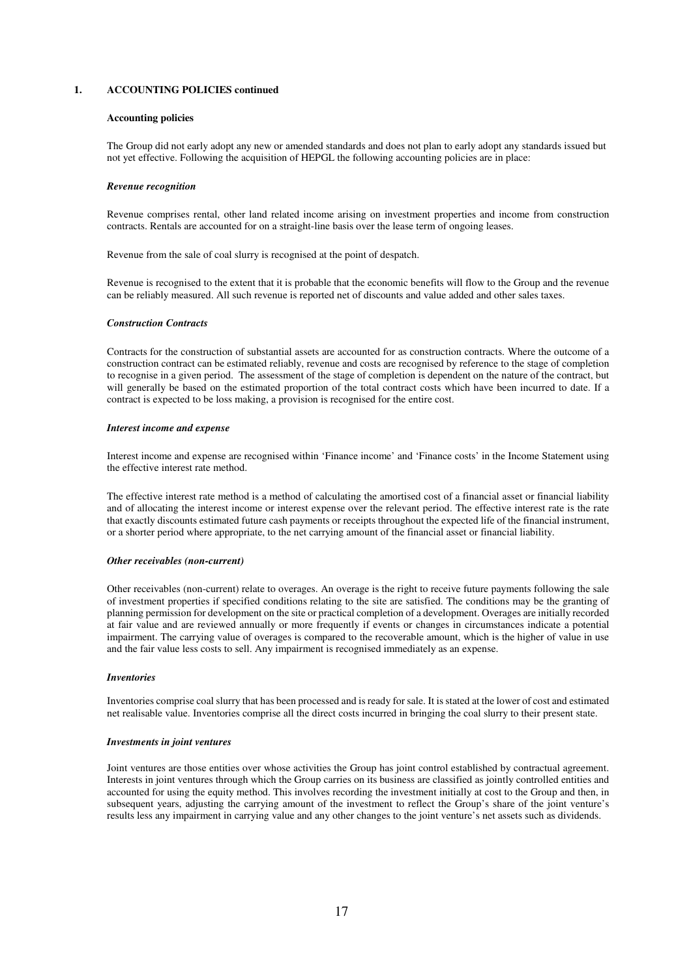#### **Accounting policies**

The Group did not early adopt any new or amended standards and does not plan to early adopt any standards issued but not yet effective. Following the acquisition of HEPGL the following accounting policies are in place:

#### *Revenue recognition*

Revenue comprises rental, other land related income arising on investment properties and income from construction contracts. Rentals are accounted for on a straight-line basis over the lease term of ongoing leases.

Revenue from the sale of coal slurry is recognised at the point of despatch.

Revenue is recognised to the extent that it is probable that the economic benefits will flow to the Group and the revenue can be reliably measured. All such revenue is reported net of discounts and value added and other sales taxes.

#### *Construction Contracts*

Contracts for the construction of substantial assets are accounted for as construction contracts. Where the outcome of a construction contract can be estimated reliably, revenue and costs are recognised by reference to the stage of completion to recognise in a given period. The assessment of the stage of completion is dependent on the nature of the contract, but will generally be based on the estimated proportion of the total contract costs which have been incurred to date. If a contract is expected to be loss making, a provision is recognised for the entire cost.

#### *Interest income and expense*

Interest income and expense are recognised within 'Finance income' and 'Finance costs' in the Income Statement using the effective interest rate method.

The effective interest rate method is a method of calculating the amortised cost of a financial asset or financial liability and of allocating the interest income or interest expense over the relevant period. The effective interest rate is the rate that exactly discounts estimated future cash payments or receipts throughout the expected life of the financial instrument, or a shorter period where appropriate, to the net carrying amount of the financial asset or financial liability.

#### *Other receivables (non-current)*

Other receivables (non-current) relate to overages. An overage is the right to receive future payments following the sale of investment properties if specified conditions relating to the site are satisfied. The conditions may be the granting of planning permission for development on the site or practical completion of a development. Overages are initially recorded at fair value and are reviewed annually or more frequently if events or changes in circumstances indicate a potential impairment. The carrying value of overages is compared to the recoverable amount, which is the higher of value in use and the fair value less costs to sell. Any impairment is recognised immediately as an expense.

#### *Inventories*

Inventories comprise coal slurry that has been processed and is ready for sale. It is stated at the lower of cost and estimated net realisable value. Inventories comprise all the direct costs incurred in bringing the coal slurry to their present state.

#### *Investments in joint ventures*

Joint ventures are those entities over whose activities the Group has joint control established by contractual agreement. Interests in joint ventures through which the Group carries on its business are classified as jointly controlled entities and accounted for using the equity method. This involves recording the investment initially at cost to the Group and then, in subsequent years, adjusting the carrying amount of the investment to reflect the Group's share of the joint venture's results less any impairment in carrying value and any other changes to the joint venture's net assets such as dividends.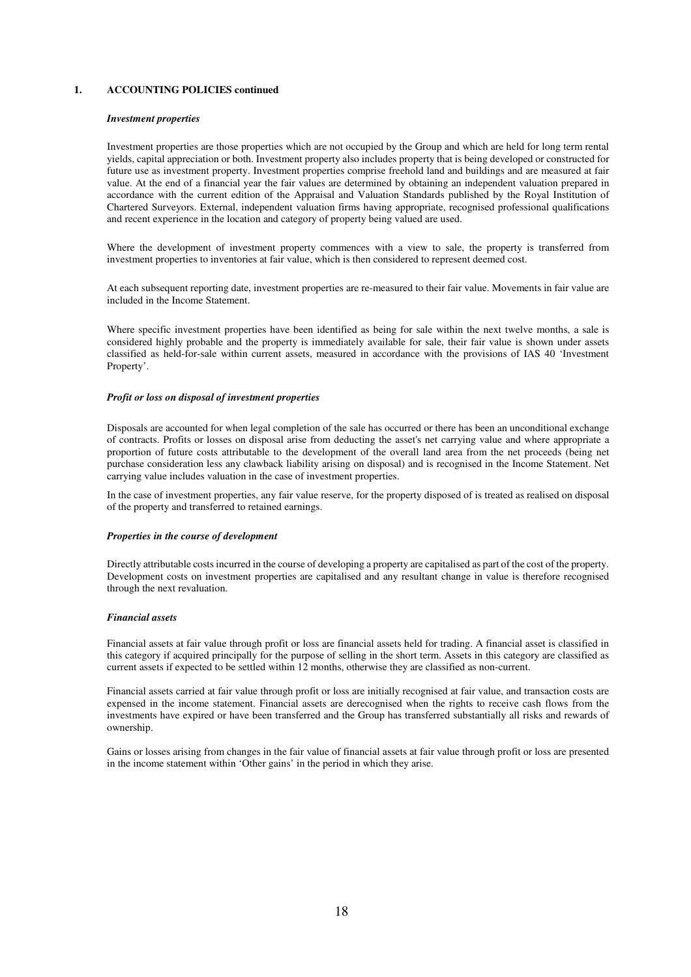#### *Investment properties*

Investment properties are those properties which are not occupied by the Group and which are held for long term rental yields, capital appreciation or both. Investment property also includes property that is being developed or constructed for future use as investment property. Investment properties comprise freehold land and buildings and are measured at fair value. At the end of a financial year the fair values are determined by obtaining an independent valuation prepared in accordance with the current edition of the Appraisal and Valuation Standards published by the Royal Institution of Chartered Surveyors. External, independent valuation firms having appropriate, recognised professional qualifications and recent experience in the location and category of property being valued are used.

Where the development of investment property commences with a view to sale, the property is transferred from investment properties to inventories at fair value, which is then considered to represent deemed cost.

At each subsequent reporting date, investment properties are re-measured to their fair value. Movements in fair value are included in the Income Statement.

Where specific investment properties have been identified as being for sale within the next twelve months, a sale is considered highly probable and the property is immediately available for sale, their fair value is shown under assets classified as held-for-sale within current assets, measured in accordance with the provisions of IAS 40 'Investment Property'.

#### *Profit or loss on disposal of investment properties*

Disposals are accounted for when legal completion of the sale has occurred or there has been an unconditional exchange of contracts. Profits or losses on disposal arise from deducting the asset's net carrying value and where appropriate a proportion of future costs attributable to the development of the overall land area from the net proceeds (being net purchase consideration less any clawback liability arising on disposal) and is recognised in the Income Statement. Net carrying value includes valuation in the case of investment properties.

In the case of investment properties, any fair value reserve, for the property disposed of is treated as realised on disposal of the property and transferred to retained earnings.

#### *Properties in the course of development*

Directly attributable costs incurred in the course of developing a property are capitalised as part of the cost of the property. Development costs on investment properties are capitalised and any resultant change in value is therefore recognised through the next revaluation.

#### *Financial assets*

Financial assets at fair value through profit or loss are financial assets held for trading. A financial asset is classified in this category if acquired principally for the purpose of selling in the short term. Assets in this category are classified as current assets if expected to be settled within 12 months, otherwise they are classified as non-current.

Financial assets carried at fair value through profit or loss are initially recognised at fair value, and transaction costs are expensed in the income statement. Financial assets are derecognised when the rights to receive cash flows from the investments have expired or have been transferred and the Group has transferred substantially all risks and rewards of ownership.

Gains or losses arising from changes in the fair value of financial assets at fair value through profit or loss are presented in the income statement within 'Other gains' in the period in which they arise.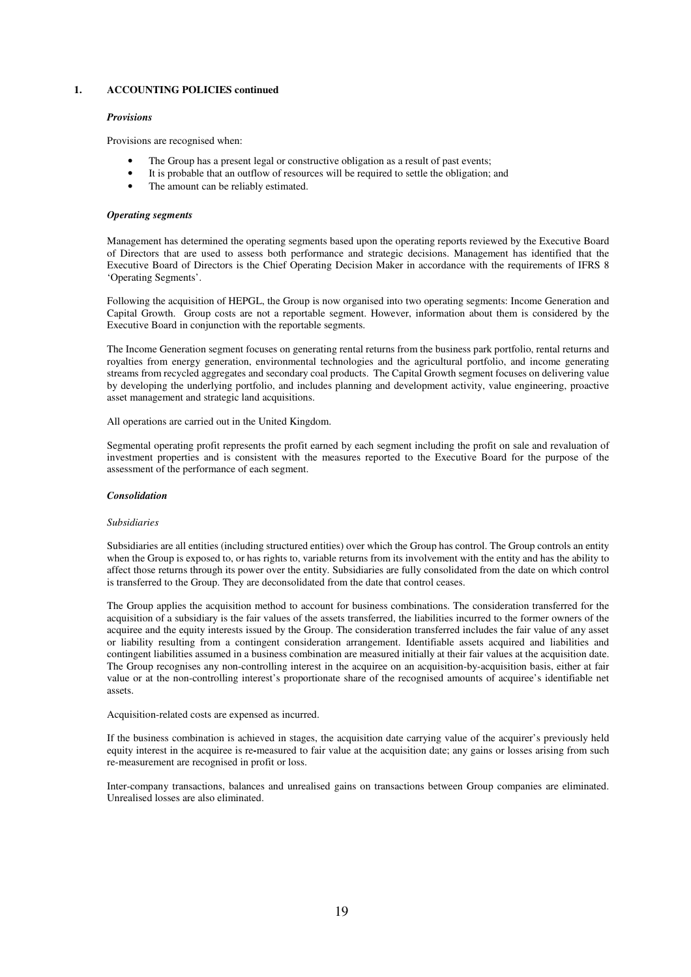#### *Provisions*

Provisions are recognised when:

- The Group has a present legal or constructive obligation as a result of past events;
- It is probable that an outflow of resources will be required to settle the obligation; and
- The amount can be reliably estimated.

#### *Operating segments*

Management has determined the operating segments based upon the operating reports reviewed by the Executive Board of Directors that are used to assess both performance and strategic decisions. Management has identified that the Executive Board of Directors is the Chief Operating Decision Maker in accordance with the requirements of IFRS 8 'Operating Segments'.

Following the acquisition of HEPGL, the Group is now organised into two operating segments: Income Generation and Capital Growth. Group costs are not a reportable segment. However, information about them is considered by the Executive Board in conjunction with the reportable segments.

The Income Generation segment focuses on generating rental returns from the business park portfolio, rental returns and royalties from energy generation, environmental technologies and the agricultural portfolio, and income generating streams from recycled aggregates and secondary coal products. The Capital Growth segment focuses on delivering value by developing the underlying portfolio, and includes planning and development activity, value engineering, proactive asset management and strategic land acquisitions.

All operations are carried out in the United Kingdom.

Segmental operating profit represents the profit earned by each segment including the profit on sale and revaluation of investment properties and is consistent with the measures reported to the Executive Board for the purpose of the assessment of the performance of each segment.

#### *Consolidation*

#### *Subsidiaries*

Subsidiaries are all entities (including structured entities) over which the Group has control. The Group controls an entity when the Group is exposed to, or has rights to, variable returns from its involvement with the entity and has the ability to affect those returns through its power over the entity. Subsidiaries are fully consolidated from the date on which control is transferred to the Group. They are deconsolidated from the date that control ceases.

The Group applies the acquisition method to account for business combinations. The consideration transferred for the acquisition of a subsidiary is the fair values of the assets transferred, the liabilities incurred to the former owners of the acquiree and the equity interests issued by the Group. The consideration transferred includes the fair value of any asset or liability resulting from a contingent consideration arrangement. Identifiable assets acquired and liabilities and contingent liabilities assumed in a business combination are measured initially at their fair values at the acquisition date. The Group recognises any non-controlling interest in the acquiree on an acquisition-by-acquisition basis, either at fair value or at the non-controlling interest's proportionate share of the recognised amounts of acquiree's identifiable net assets.

Acquisition-related costs are expensed as incurred.

If the business combination is achieved in stages, the acquisition date carrying value of the acquirer's previously held equity interest in the acquiree is re**-**measured to fair value at the acquisition date; any gains or losses arising from such re-measurement are recognised in profit or loss.

Inter-company transactions, balances and unrealised gains on transactions between Group companies are eliminated. Unrealised losses are also eliminated.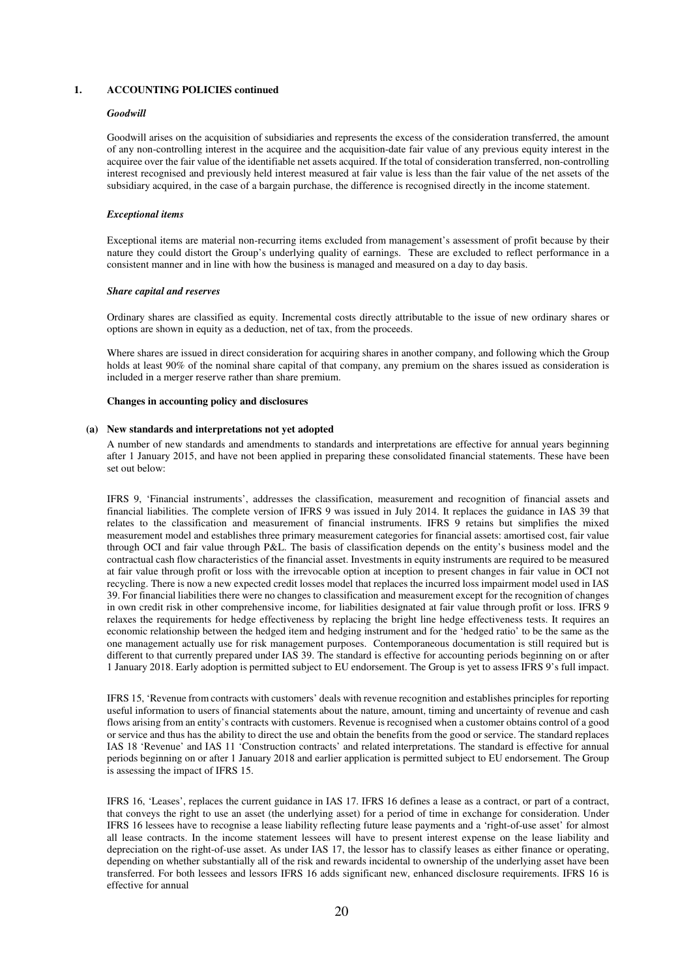#### *Goodwill*

Goodwill arises on the acquisition of subsidiaries and represents the excess of the consideration transferred, the amount of any non-controlling interest in the acquiree and the acquisition-date fair value of any previous equity interest in the acquiree over the fair value of the identifiable net assets acquired. If the total of consideration transferred, non-controlling interest recognised and previously held interest measured at fair value is less than the fair value of the net assets of the subsidiary acquired, in the case of a bargain purchase, the difference is recognised directly in the income statement.

#### *Exceptional items*

Exceptional items are material non-recurring items excluded from management's assessment of profit because by their nature they could distort the Group's underlying quality of earnings. These are excluded to reflect performance in a consistent manner and in line with how the business is managed and measured on a day to day basis.

#### *Share capital and reserves*

Ordinary shares are classified as equity. Incremental costs directly attributable to the issue of new ordinary shares or options are shown in equity as a deduction, net of tax, from the proceeds.

Where shares are issued in direct consideration for acquiring shares in another company, and following which the Group holds at least 90% of the nominal share capital of that company, any premium on the shares issued as consideration is included in a merger reserve rather than share premium.

#### **Changes in accounting policy and disclosures**

#### **(a) New standards and interpretations not yet adopted**

A number of new standards and amendments to standards and interpretations are effective for annual years beginning after 1 January 2015, and have not been applied in preparing these consolidated financial statements. These have been set out below:

IFRS 9, 'Financial instruments', addresses the classification, measurement and recognition of financial assets and financial liabilities. The complete version of IFRS 9 was issued in July 2014. It replaces the guidance in IAS 39 that relates to the classification and measurement of financial instruments. IFRS 9 retains but simplifies the mixed measurement model and establishes three primary measurement categories for financial assets: amortised cost, fair value through OCI and fair value through P&L. The basis of classification depends on the entity's business model and the contractual cash flow characteristics of the financial asset. Investments in equity instruments are required to be measured at fair value through profit or loss with the irrevocable option at inception to present changes in fair value in OCI not recycling. There is now a new expected credit losses model that replaces the incurred loss impairment model used in IAS 39. For financial liabilities there were no changes to classification and measurement except for the recognition of changes in own credit risk in other comprehensive income, for liabilities designated at fair value through profit or loss. IFRS 9 relaxes the requirements for hedge effectiveness by replacing the bright line hedge effectiveness tests. It requires an economic relationship between the hedged item and hedging instrument and for the 'hedged ratio' to be the same as the one management actually use for risk management purposes. Contemporaneous documentation is still required but is different to that currently prepared under IAS 39. The standard is effective for accounting periods beginning on or after 1 January 2018. Early adoption is permitted subject to EU endorsement. The Group is yet to assess IFRS 9's full impact.

IFRS 15, 'Revenue from contracts with customers' deals with revenue recognition and establishes principles for reporting useful information to users of financial statements about the nature, amount, timing and uncertainty of revenue and cash flows arising from an entity's contracts with customers. Revenue is recognised when a customer obtains control of a good or service and thus has the ability to direct the use and obtain the benefits from the good or service. The standard replaces IAS 18 'Revenue' and IAS 11 'Construction contracts' and related interpretations. The standard is effective for annual periods beginning on or after 1 January 2018 and earlier application is permitted subject to EU endorsement. The Group is assessing the impact of IFRS 15.

IFRS 16, 'Leases', replaces the current guidance in IAS 17. IFRS 16 defines a lease as a contract, or part of a contract, that conveys the right to use an asset (the underlying asset) for a period of time in exchange for consideration. Under IFRS 16 lessees have to recognise a lease liability reflecting future lease payments and a 'right-of-use asset' for almost all lease contracts. In the income statement lessees will have to present interest expense on the lease liability and depreciation on the right-of-use asset. As under IAS 17, the lessor has to classify leases as either finance or operating, depending on whether substantially all of the risk and rewards incidental to ownership of the underlying asset have been transferred. For both lessees and lessors IFRS 16 adds significant new, enhanced disclosure requirements. IFRS 16 is effective for annual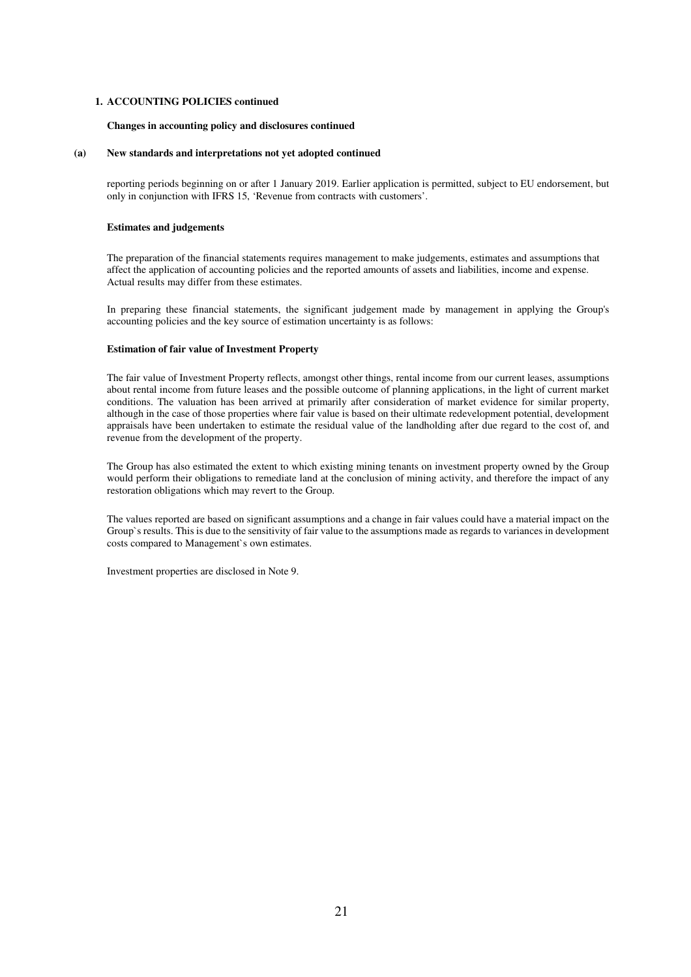#### **Changes in accounting policy and disclosures continued**

#### **(a) New standards and interpretations not yet adopted continued**

reporting periods beginning on or after 1 January 2019. Earlier application is permitted, subject to EU endorsement, but only in conjunction with IFRS 15, 'Revenue from contracts with customers'.

#### **Estimates and judgements**

The preparation of the financial statements requires management to make judgements, estimates and assumptions that affect the application of accounting policies and the reported amounts of assets and liabilities, income and expense. Actual results may differ from these estimates.

In preparing these financial statements, the significant judgement made by management in applying the Group's accounting policies and the key source of estimation uncertainty is as follows:

#### **Estimation of fair value of Investment Property**

The fair value of Investment Property reflects, amongst other things, rental income from our current leases, assumptions about rental income from future leases and the possible outcome of planning applications, in the light of current market conditions. The valuation has been arrived at primarily after consideration of market evidence for similar property, although in the case of those properties where fair value is based on their ultimate redevelopment potential, development appraisals have been undertaken to estimate the residual value of the landholding after due regard to the cost of, and revenue from the development of the property.

The Group has also estimated the extent to which existing mining tenants on investment property owned by the Group would perform their obligations to remediate land at the conclusion of mining activity, and therefore the impact of any restoration obligations which may revert to the Group.

The values reported are based on significant assumptions and a change in fair values could have a material impact on the Group`s results. This is due to the sensitivity of fair value to the assumptions made as regards to variances in development costs compared to Management`s own estimates.

Investment properties are disclosed in Note 9.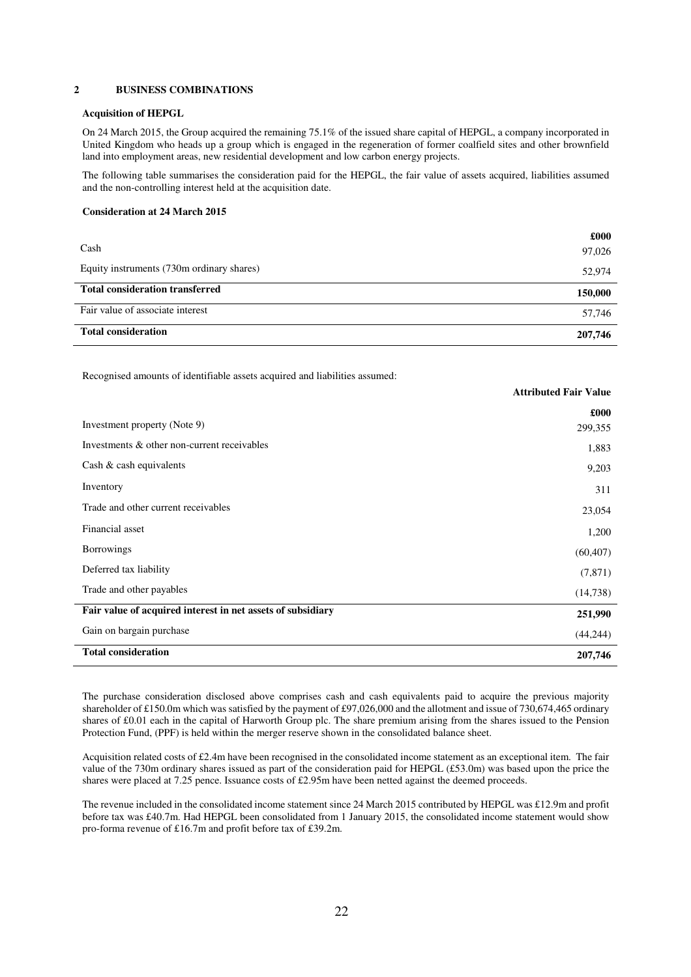#### **2 BUSINESS COMBINATIONS**

#### **Acquisition of HEPGL**

On 24 March 2015, the Group acquired the remaining 75.1% of the issued share capital of HEPGL, a company incorporated in United Kingdom who heads up a group which is engaged in the regeneration of former coalfield sites and other brownfield land into employment areas, new residential development and low carbon energy projects.

The following table summarises the consideration paid for the HEPGL, the fair value of assets acquired, liabilities assumed and the non-controlling interest held at the acquisition date.

#### **Consideration at 24 March 2015**

|                                           | £000    |
|-------------------------------------------|---------|
| Cash                                      | 97,026  |
| Equity instruments (730m ordinary shares) | 52,974  |
| <b>Total consideration transferred</b>    | 150,000 |
| Fair value of associate interest          | 57,746  |
|                                           |         |

Recognised amounts of identifiable assets acquired and liabilities assumed:

|                                                             | <b>Attributed Fair Value</b> |
|-------------------------------------------------------------|------------------------------|
|                                                             | £000                         |
| Investment property (Note 9)                                | 299,355                      |
| Investments & other non-current receivables                 | 1,883                        |
| Cash $\&$ cash equivalents                                  | 9,203                        |
| Inventory                                                   | 311                          |
| Trade and other current receivables                         | 23,054                       |
| Financial asset                                             | 1,200                        |
| <b>Borrowings</b>                                           | (60, 407)                    |
| Deferred tax liability                                      | (7,871)                      |
| Trade and other payables                                    | (14,738)                     |
| Fair value of acquired interest in net assets of subsidiary | 251,990                      |
| Gain on bargain purchase                                    | (44, 244)                    |
| <b>Total consideration</b>                                  | 207,746                      |

The purchase consideration disclosed above comprises cash and cash equivalents paid to acquire the previous majority shareholder of £150.0m which was satisfied by the payment of £97,026,000 and the allotment and issue of 730,674,465 ordinary shares of £0.01 each in the capital of Harworth Group plc. The share premium arising from the shares issued to the Pension Protection Fund, (PPF) is held within the merger reserve shown in the consolidated balance sheet.

Acquisition related costs of £2.4m have been recognised in the consolidated income statement as an exceptional item. The fair value of the 730m ordinary shares issued as part of the consideration paid for HEPGL (£53.0m) was based upon the price the shares were placed at 7.25 pence. Issuance costs of £2.95m have been netted against the deemed proceeds.

The revenue included in the consolidated income statement since 24 March 2015 contributed by HEPGL was £12.9m and profit before tax was £40.7m. Had HEPGL been consolidated from 1 January 2015, the consolidated income statement would show pro-forma revenue of £16.7m and profit before tax of £39.2m.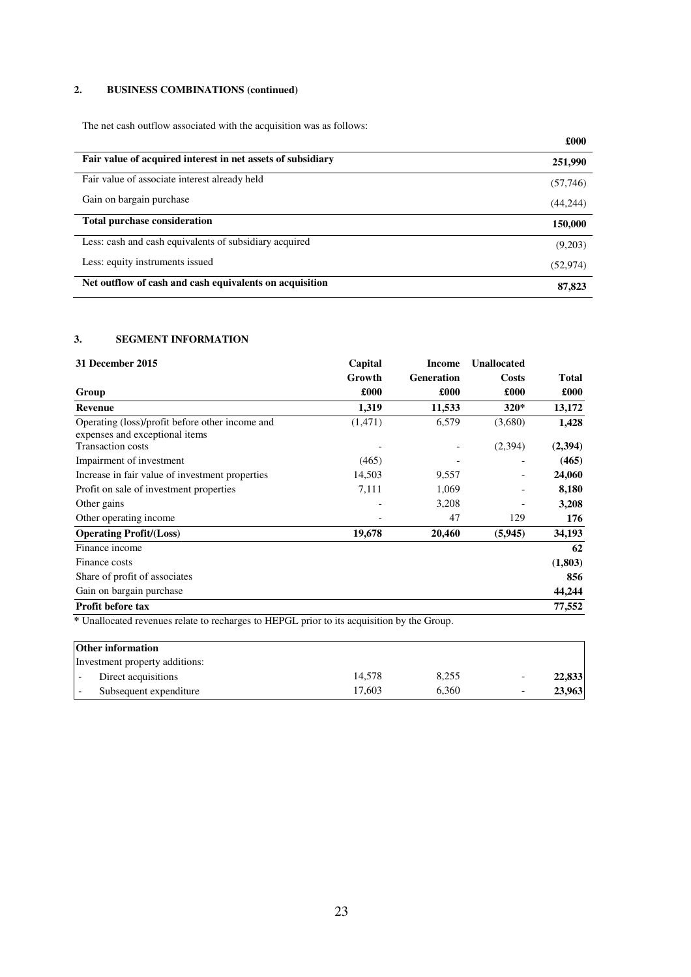## **2. BUSINESS COMBINATIONS (continued)**

The net cash outflow associated with the acquisition was as follows:

|                                                             | zvvv      |
|-------------------------------------------------------------|-----------|
| Fair value of acquired interest in net assets of subsidiary | 251,990   |
| Fair value of associate interest already held               | (57,746)  |
| Gain on bargain purchase                                    | (44,244)  |
| <b>Total purchase consideration</b>                         | 150,000   |
| Less: cash and cash equivalents of subsidiary acquired      | (9,203)   |
| Less: equity instruments issued                             | (52, 974) |
| Net outflow of cash and cash equivalents on acquisition     | 87,823    |

**£000** 

## **3. SEGMENT INFORMATION**

| Capital | <b>Income</b>     | <b>Unallocated</b> |              |
|---------|-------------------|--------------------|--------------|
| Growth  | <b>Generation</b> | <b>Costs</b>       | <b>Total</b> |
| £000    | £000              | £000               | £000         |
| 1,319   | 11,533            | $320*$             | 13,172       |
| (1,471) | 6,579             | (3,680)            | 1,428        |
|         |                   | (2,394)            | (2,394)      |
| (465)   |                   |                    | (465)        |
| 14,503  | 9,557             |                    | 24,060       |
| 7,111   | 1,069             |                    | 8,180        |
|         | 3,208             |                    | 3,208        |
|         | 47                | 129                | 176          |
| 19,678  | 20,460            | (5,945)            | 34,193       |
|         |                   |                    | 62           |
|         |                   |                    | (1,803)      |
|         |                   |                    | 856          |
|         |                   |                    | 44,244       |
|         |                   |                    | 77,552       |
|         |                   |                    |              |

**\*** Unallocated revenues relate to recharges to HEPGL prior to its acquisition by the Group.

| <b>Other information</b>       |        |       |        |
|--------------------------------|--------|-------|--------|
| Investment property additions: |        |       |        |
| Direct acquisitions            | 14.578 | 8.255 | 22,833 |
| Subsequent expenditure         | 17.603 | 6.360 | 23,963 |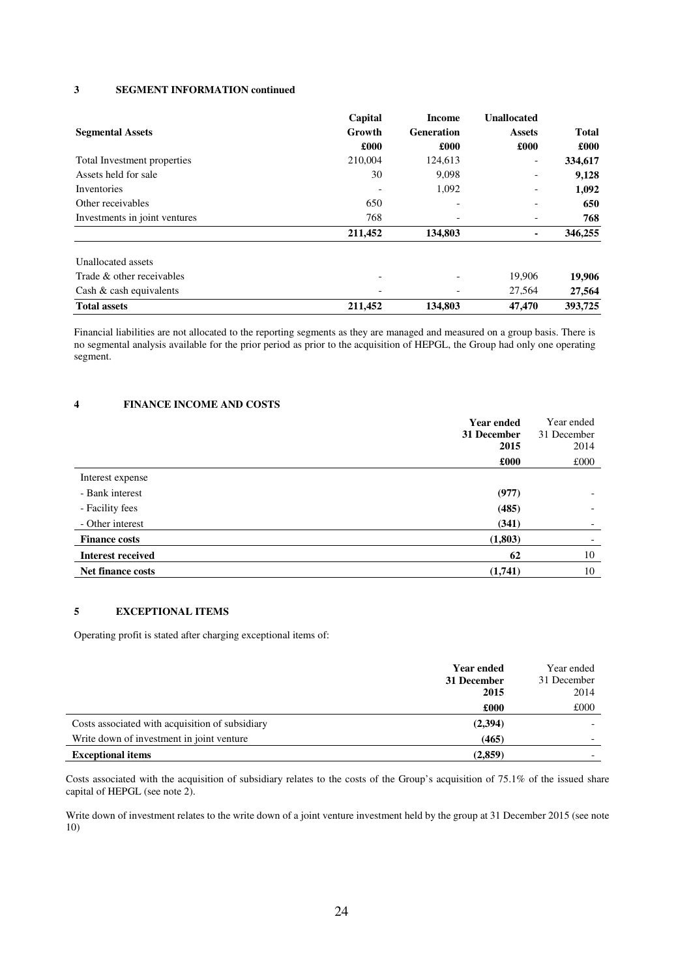#### **3 SEGMENT INFORMATION continued**

|                               | Capital | Income                   | <b>Unallocated</b>       |              |
|-------------------------------|---------|--------------------------|--------------------------|--------------|
| <b>Segmental Assets</b>       | Growth  | <b>Generation</b>        | <b>Assets</b>            | <b>Total</b> |
|                               | £000    | £000                     | £000                     | £000         |
| Total Investment properties   | 210,004 | 124,613                  | $\overline{\phantom{a}}$ | 334,617      |
| Assets held for sale          | 30      | 9,098                    |                          | 9,128        |
| Inventories                   |         | 1,092                    | $\overline{\phantom{a}}$ | 1,092        |
| Other receivables             | 650     | $\overline{\phantom{a}}$ | -                        | 650          |
| Investments in joint ventures | 768     |                          |                          | 768          |
|                               | 211,452 | 134,803                  | ٠                        | 346,255      |
| Unallocated assets            |         |                          |                          |              |
| Trade & other receivables     |         | $\overline{\phantom{0}}$ | 19,906                   | 19,906       |
| Cash $\&$ cash equivalents    |         |                          | 27,564                   | 27,564       |
| <b>Total assets</b>           | 211,452 | 134,803                  | 47,470                   | 393,725      |

Financial liabilities are not allocated to the reporting segments as they are managed and measured on a group basis. There is no segmental analysis available for the prior period as prior to the acquisition of HEPGL, the Group had only one operating segment.

### **4 FINANCE INCOME AND COSTS**

| <b>Year ended</b><br>31 December<br>2015 | Year ended<br>31 December<br>2014 |
|------------------------------------------|-----------------------------------|
| £000                                     | £000                              |
| Interest expense                         |                                   |
| - Bank interest<br>(977)                 | $\overline{\phantom{a}}$          |
| - Facility fees<br>(485)                 | $\overline{\phantom{a}}$          |
| - Other interest<br>(341)                | $\overline{\phantom{a}}$          |
| (1,803)<br><b>Finance costs</b>          |                                   |
| <b>Interest received</b><br>62           | 10                                |
| (1,741)<br><b>Net finance costs</b>      | 10                                |

## **5 EXCEPTIONAL ITEMS**

Operating profit is stated after charging exceptional items of:

|                                                 | <b>Year ended</b> | Year ended  |
|-------------------------------------------------|-------------------|-------------|
|                                                 | 31 December       | 31 December |
|                                                 | 2015              | 2014        |
|                                                 | £000              | £000        |
| Costs associated with acquisition of subsidiary | (2,394)           |             |
| Write down of investment in joint venture       | (465)             |             |
| <b>Exceptional items</b>                        | (2,859)           |             |

Costs associated with the acquisition of subsidiary relates to the costs of the Group's acquisition of 75.1% of the issued share capital of HEPGL (see note 2).

Write down of investment relates to the write down of a joint venture investment held by the group at 31 December 2015 (see note 10)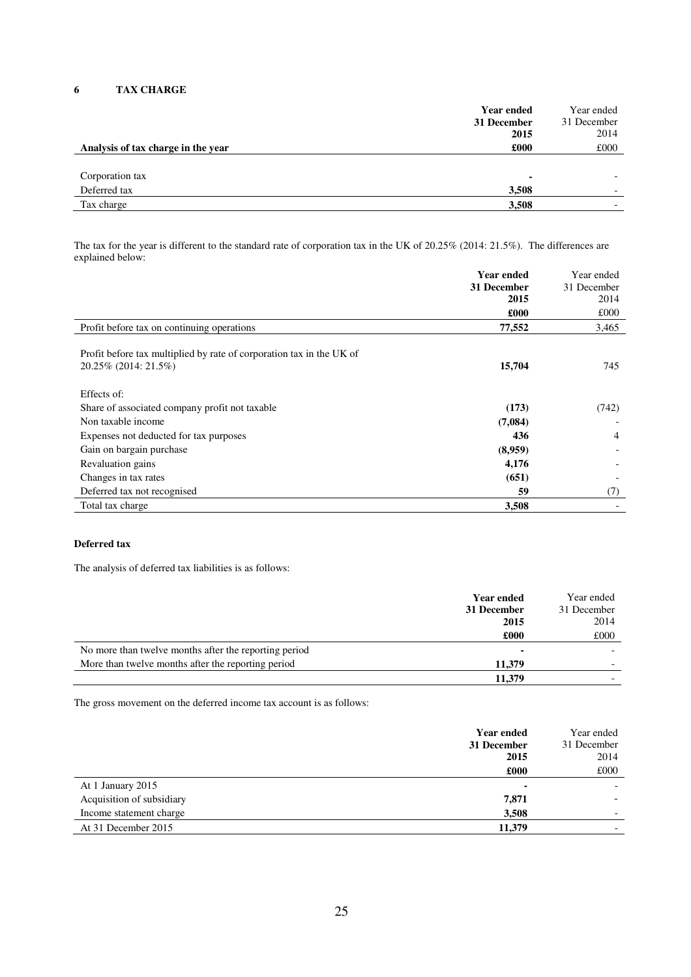## **6 TAX CHARGE**

|                                    | <b>Year ended</b><br>31 December<br>2015 | Year ended<br>31 December<br>2014 |
|------------------------------------|------------------------------------------|-----------------------------------|
| Analysis of tax charge in the year | £000                                     | £000                              |
|                                    |                                          |                                   |
| Corporation tax                    | ۰                                        |                                   |
| Deferred tax                       | 3,508                                    |                                   |
| Tax charge                         | 3,508                                    |                                   |
|                                    |                                          |                                   |

The tax for the year is different to the standard rate of corporation tax in the UK of 20.25% (2014: 21.5%). The differences are explained below:

|                                                                                              | <b>Year ended</b> | Year ended     |
|----------------------------------------------------------------------------------------------|-------------------|----------------|
|                                                                                              | 31 December       | 31 December    |
|                                                                                              | 2015              | 2014           |
|                                                                                              | £000              | £000           |
| Profit before tax on continuing operations                                                   | 77,552            | 3,465          |
| Profit before tax multiplied by rate of corporation tax in the UK of<br>20.25% (2014: 21.5%) | 15,704            | 745            |
| Effects of:                                                                                  |                   |                |
| Share of associated company profit not taxable                                               | (173)             | (742)          |
| Non taxable income                                                                           | (7,084)           |                |
| Expenses not deducted for tax purposes                                                       | 436               | $\overline{4}$ |
| Gain on bargain purchase                                                                     | (8,959)           |                |
| Revaluation gains                                                                            | 4,176             |                |
| Changes in tax rates                                                                         | (651)             |                |
| Deferred tax not recognised                                                                  | 59                | (7)            |
| Total tax charge                                                                             | 3,508             |                |

## **Deferred tax**

The analysis of deferred tax liabilities is as follows:

|                                                       | <b>Year ended</b><br>31 December<br>2015 | Year ended<br>31 December<br>2014 |
|-------------------------------------------------------|------------------------------------------|-----------------------------------|
|                                                       | £000                                     | £000                              |
| No more than twelve months after the reporting period |                                          |                                   |
| More than twelve months after the reporting period    | 11,379                                   |                                   |
|                                                       | 11,379                                   |                                   |

The gross movement on the deferred income tax account is as follows:

|                           | <b>Year ended</b><br>31 December<br>2015 | Year ended<br>31 December<br>2014 |
|---------------------------|------------------------------------------|-----------------------------------|
|                           | £000                                     | £000                              |
| At 1 January 2015         |                                          |                                   |
| Acquisition of subsidiary | 7,871                                    |                                   |
| Income statement charge   | 3,508                                    | $\overline{\phantom{0}}$          |
| At 31 December 2015       | 11,379                                   |                                   |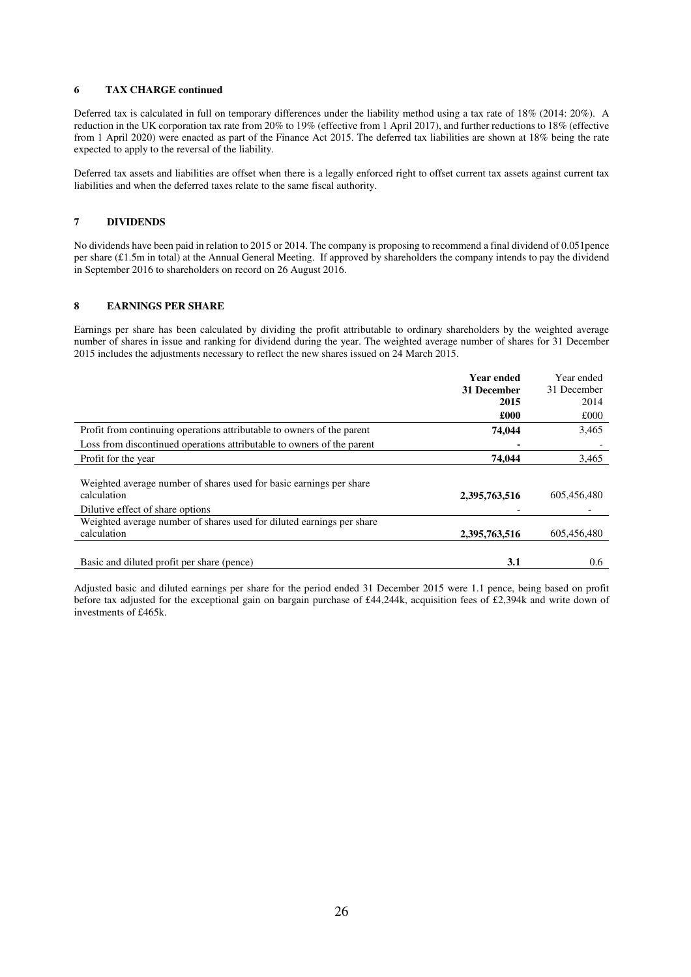#### **6 TAX CHARGE continued**

Deferred tax is calculated in full on temporary differences under the liability method using a tax rate of 18% (2014: 20%). A reduction in the UK corporation tax rate from 20% to 19% (effective from 1 April 2017), and further reductions to 18% (effective from 1 April 2020) were enacted as part of the Finance Act 2015. The deferred tax liabilities are shown at 18% being the rate expected to apply to the reversal of the liability.

Deferred tax assets and liabilities are offset when there is a legally enforced right to offset current tax assets against current tax liabilities and when the deferred taxes relate to the same fiscal authority.

#### **7 DIVIDENDS**

No dividends have been paid in relation to 2015 or 2014. The company is proposing to recommend a final dividend of 0.051pence per share (£1.5m in total) at the Annual General Meeting. If approved by shareholders the company intends to pay the dividend in September 2016 to shareholders on record on 26 August 2016.

#### **8 EARNINGS PER SHARE**

Earnings per share has been calculated by dividing the profit attributable to ordinary shareholders by the weighted average number of shares in issue and ranking for dividend during the year. The weighted average number of shares for 31 December 2015 includes the adjustments necessary to reflect the new shares issued on 24 March 2015.

|                                                                                                                        | <b>Year ended</b> | Year ended  |
|------------------------------------------------------------------------------------------------------------------------|-------------------|-------------|
|                                                                                                                        | 31 December       | 31 December |
|                                                                                                                        | 2015              | 2014        |
|                                                                                                                        | £000              | £000        |
| Profit from continuing operations attributable to owners of the parent                                                 | 74,044            | 3,465       |
| Loss from discontinued operations attributable to owners of the parent                                                 |                   |             |
| Profit for the year                                                                                                    | 74.044            | 3,465       |
| Weighted average number of shares used for basic earnings per share<br>calculation<br>Dilutive effect of share options | 2,395,763,516     | 605,456,480 |
| Weighted average number of shares used for diluted earnings per share                                                  |                   |             |
| calculation                                                                                                            | 2,395,763,516     | 605,456,480 |
| Basic and diluted profit per share (pence)                                                                             | 3.1               | 0.6         |
|                                                                                                                        |                   |             |

Adjusted basic and diluted earnings per share for the period ended 31 December 2015 were 1.1 pence, being based on profit before tax adjusted for the exceptional gain on bargain purchase of £44,244k, acquisition fees of £2,394k and write down of investments of £465k.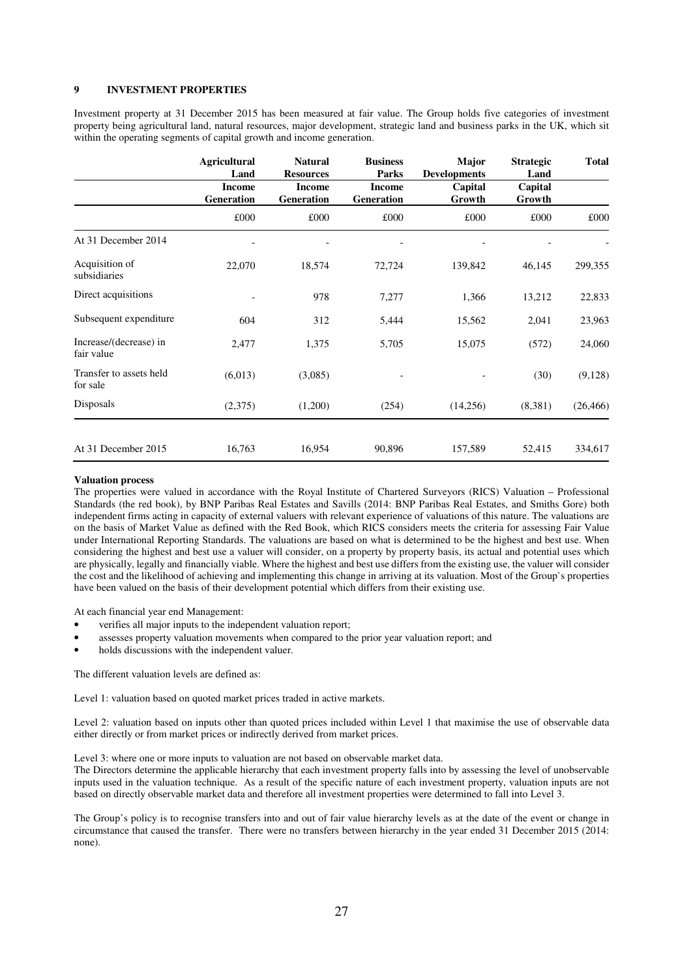#### **9 INVESTMENT PROPERTIES**

Investment property at 31 December 2015 has been measured at fair value. The Group holds five categories of investment property being agricultural land, natural resources, major development, strategic land and business parks in the UK, which sit within the operating segments of capital growth and income generation.

|                                      | <b>Agricultural</b><br>Land | <b>Natural</b><br><b>Resources</b> | <b>Business</b><br>Parks           | Major<br><b>Developments</b> | <b>Strategic</b><br>Land | <b>Total</b> |
|--------------------------------------|-----------------------------|------------------------------------|------------------------------------|------------------------------|--------------------------|--------------|
|                                      | <b>Income</b><br>Generation | <b>Income</b><br>Generation        | <b>Income</b><br><b>Generation</b> | Capital<br>Growth            | Capital<br>Growth        |              |
|                                      | £000                        | £000                               | £000                               | £000                         | £000                     | £000         |
| At 31 December 2014                  |                             |                                    |                                    |                              |                          |              |
| Acquisition of<br>subsidiaries       | 22,070                      | 18,574                             | 72,724                             | 139,842                      | 46,145                   | 299,355      |
| Direct acquisitions                  |                             | 978                                | 7,277                              | 1,366                        | 13,212                   | 22,833       |
| Subsequent expenditure               | 604                         | 312                                | 5,444                              | 15,562                       | 2,041                    | 23,963       |
| Increase/(decrease) in<br>fair value | 2,477                       | 1,375                              | 5,705                              | 15,075                       | (572)                    | 24,060       |
| Transfer to assets held<br>for sale  | (6,013)                     | (3,085)                            |                                    |                              | (30)                     | (9,128)      |
| Disposals                            | (2,375)                     | (1,200)                            | (254)                              | (14,256)                     | (8,381)                  | (26, 466)    |
| At 31 December 2015                  | 16,763                      | 16,954                             | 90,896                             | 157,589                      | 52,415                   | 334,617      |

#### **Valuation process**

The properties were valued in accordance with the Royal Institute of Chartered Surveyors (RICS) Valuation – Professional Standards (the red book), by BNP Paribas Real Estates and Savills (2014: BNP Paribas Real Estates, and Smiths Gore) both independent firms acting in capacity of external valuers with relevant experience of valuations of this nature. The valuations are on the basis of Market Value as defined with the Red Book, which RICS considers meets the criteria for assessing Fair Value under International Reporting Standards. The valuations are based on what is determined to be the highest and best use. When considering the highest and best use a valuer will consider, on a property by property basis, its actual and potential uses which are physically, legally and financially viable. Where the highest and best use differs from the existing use, the valuer will consider the cost and the likelihood of achieving and implementing this change in arriving at its valuation. Most of the Group`s properties have been valued on the basis of their development potential which differs from their existing use.

At each financial year end Management:

- verifies all major inputs to the independent valuation report;
- assesses property valuation movements when compared to the prior year valuation report; and
- holds discussions with the independent valuer.

The different valuation levels are defined as:

Level 1: valuation based on quoted market prices traded in active markets.

Level 2: valuation based on inputs other than quoted prices included within Level 1 that maximise the use of observable data either directly or from market prices or indirectly derived from market prices.

Level 3: where one or more inputs to valuation are not based on observable market data.

The Directors determine the applicable hierarchy that each investment property falls into by assessing the level of unobservable inputs used in the valuation technique. As a result of the specific nature of each investment property, valuation inputs are not based on directly observable market data and therefore all investment properties were determined to fall into Level 3.

The Group's policy is to recognise transfers into and out of fair value hierarchy levels as at the date of the event or change in circumstance that caused the transfer. There were no transfers between hierarchy in the year ended 31 December 2015 (2014: none).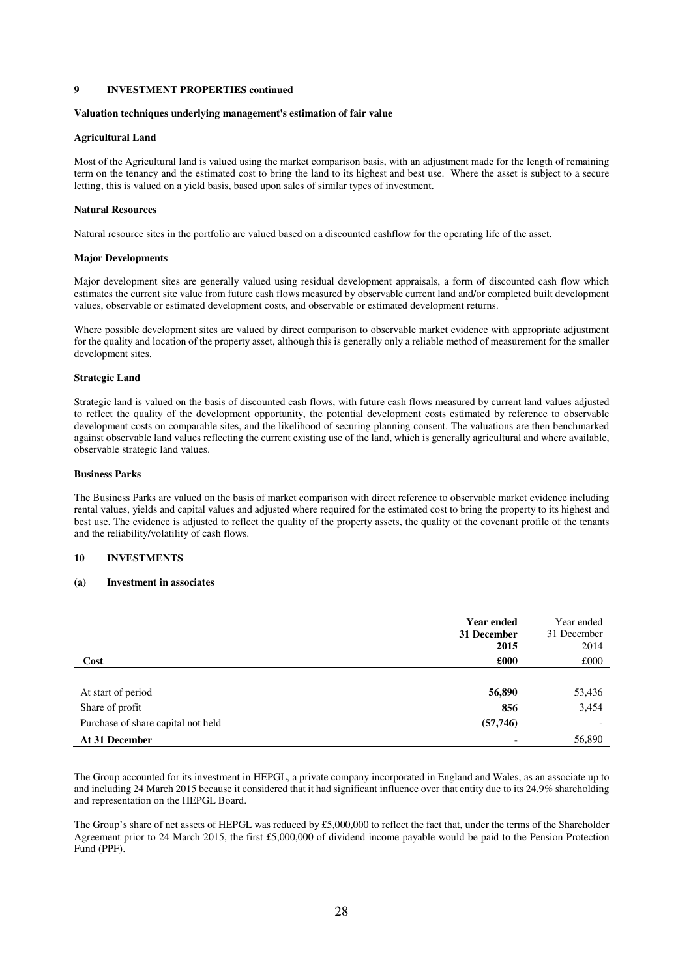#### **9 INVESTMENT PROPERTIES continued**

#### **Valuation techniques underlying management's estimation of fair value**

#### **Agricultural Land**

Most of the Agricultural land is valued using the market comparison basis, with an adjustment made for the length of remaining term on the tenancy and the estimated cost to bring the land to its highest and best use. Where the asset is subject to a secure letting, this is valued on a yield basis, based upon sales of similar types of investment.

#### **Natural Resources**

Natural resource sites in the portfolio are valued based on a discounted cashflow for the operating life of the asset.

#### **Major Developments**

Major development sites are generally valued using residual development appraisals, a form of discounted cash flow which estimates the current site value from future cash flows measured by observable current land and/or completed built development values, observable or estimated development costs, and observable or estimated development returns.

Where possible development sites are valued by direct comparison to observable market evidence with appropriate adjustment for the quality and location of the property asset, although this is generally only a reliable method of measurement for the smaller development sites.

#### **Strategic Land**

Strategic land is valued on the basis of discounted cash flows, with future cash flows measured by current land values adjusted to reflect the quality of the development opportunity, the potential development costs estimated by reference to observable development costs on comparable sites, and the likelihood of securing planning consent. The valuations are then benchmarked against observable land values reflecting the current existing use of the land, which is generally agricultural and where available, observable strategic land values.

#### **Business Parks**

The Business Parks are valued on the basis of market comparison with direct reference to observable market evidence including rental values, yields and capital values and adjusted where required for the estimated cost to bring the property to its highest and best use. The evidence is adjusted to reflect the quality of the property assets, the quality of the covenant profile of the tenants and the reliability/volatility of cash flows.

#### **10 INVESTMENTS**

#### **(a) Investment in associates**

|                                    | <b>Year ended</b><br>31 December<br>2015 | Year ended<br>31 December<br>2014 |
|------------------------------------|------------------------------------------|-----------------------------------|
| Cost                               | £000                                     | £000                              |
|                                    |                                          |                                   |
| At start of period                 | 56,890                                   | 53,436                            |
| Share of profit                    | 856                                      | 3,454                             |
| Purchase of share capital not held | (57,746)                                 |                                   |
| At 31 December                     |                                          | 56,890                            |

The Group accounted for its investment in HEPGL, a private company incorporated in England and Wales, as an associate up to and including 24 March 2015 because it considered that it had significant influence over that entity due to its 24.9% shareholding and representation on the HEPGL Board.

The Group's share of net assets of HEPGL was reduced by £5,000,000 to reflect the fact that, under the terms of the Shareholder Agreement prior to 24 March 2015, the first £5,000,000 of dividend income payable would be paid to the Pension Protection Fund (PPF).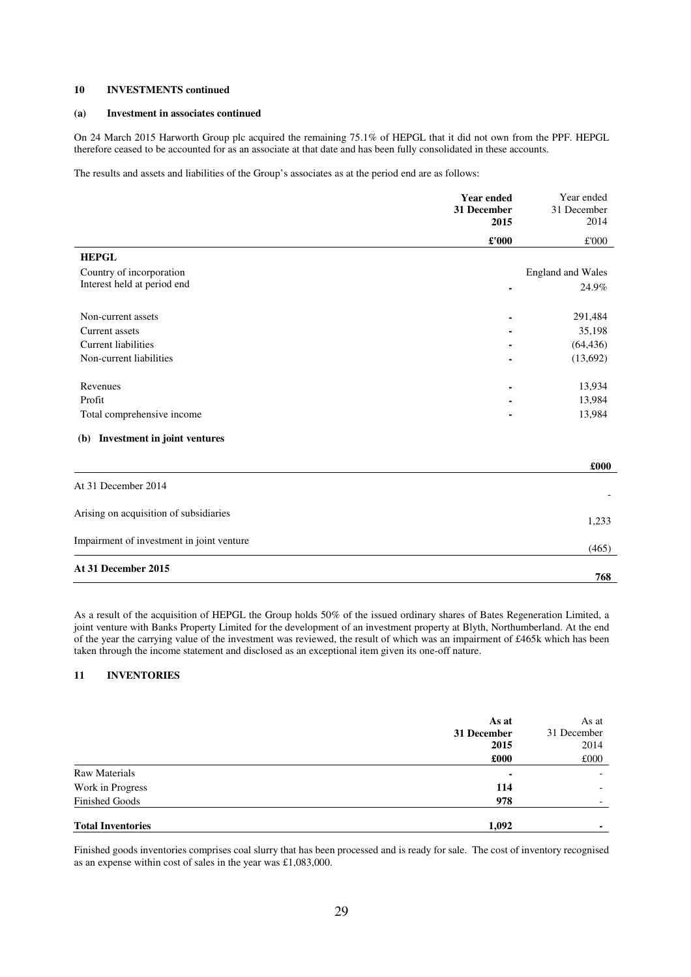#### **10 INVESTMENTS continued**

#### **(a) Investment in associates continued**

On 24 March 2015 Harworth Group plc acquired the remaining 75.1% of HEPGL that it did not own from the PPF. HEPGL therefore ceased to be accounted for as an associate at that date and has been fully consolidated in these accounts.

The results and assets and liabilities of the Group's associates as at the period end are as follows:

|                                        | <b>Year ended</b><br>31 December<br>2015 | Year ended<br>31 December<br>2014 |
|----------------------------------------|------------------------------------------|-----------------------------------|
|                                        | $\pounds 000$                            | £'000                             |
| <b>HEPGL</b>                           |                                          |                                   |
| Country of incorporation               |                                          | <b>England and Wales</b>          |
| Interest held at period end            | $\blacksquare$                           | 24.9%                             |
| Non-current assets                     | $\blacksquare$                           | 291,484                           |
| Current assets                         |                                          | 35,198                            |
| <b>Current liabilities</b>             | ٠                                        | (64, 436)                         |
| Non-current liabilities                | ٠                                        | (13,692)                          |
| Revenues                               |                                          | 13,934                            |
| Profit                                 |                                          | 13,984                            |
| Total comprehensive income             |                                          | 13,984                            |
| (b) Investment in joint ventures       |                                          |                                   |
|                                        |                                          | £000                              |
| At 31 December 2014                    |                                          |                                   |
| Arising on acquisition of subsidiaries |                                          | 1,233                             |

| Impairment of investment in joint venture |
|-------------------------------------------|
|-------------------------------------------|

## **At 31 December 2015**

As a result of the acquisition of HEPGL the Group holds 50% of the issued ordinary shares of Bates Regeneration Limited, a joint venture with Banks Property Limited for the development of an investment property at Blyth, Northumberland. At the end of the year the carrying value of the investment was reviewed, the result of which was an impairment of £465k which has been taken through the income statement and disclosed as an exceptional item given its one-off nature.

(465)

**768** 

## **11 INVENTORIES**

|                          | As at       | As at                    |
|--------------------------|-------------|--------------------------|
|                          | 31 December | 31 December              |
|                          | 2015        | 2014                     |
|                          | £000        | £000                     |
| <b>Raw Materials</b>     | ۰.          | $\overline{\phantom{0}}$ |
| Work in Progress         | 114         | $\overline{\phantom{0}}$ |
| <b>Finished Goods</b>    | 978         | $\overline{\phantom{0}}$ |
| <b>Total Inventories</b> | 1,092       | $\blacksquare$           |

Finished goods inventories comprises coal slurry that has been processed and is ready for sale. The cost of inventory recognised as an expense within cost of sales in the year was £1,083,000.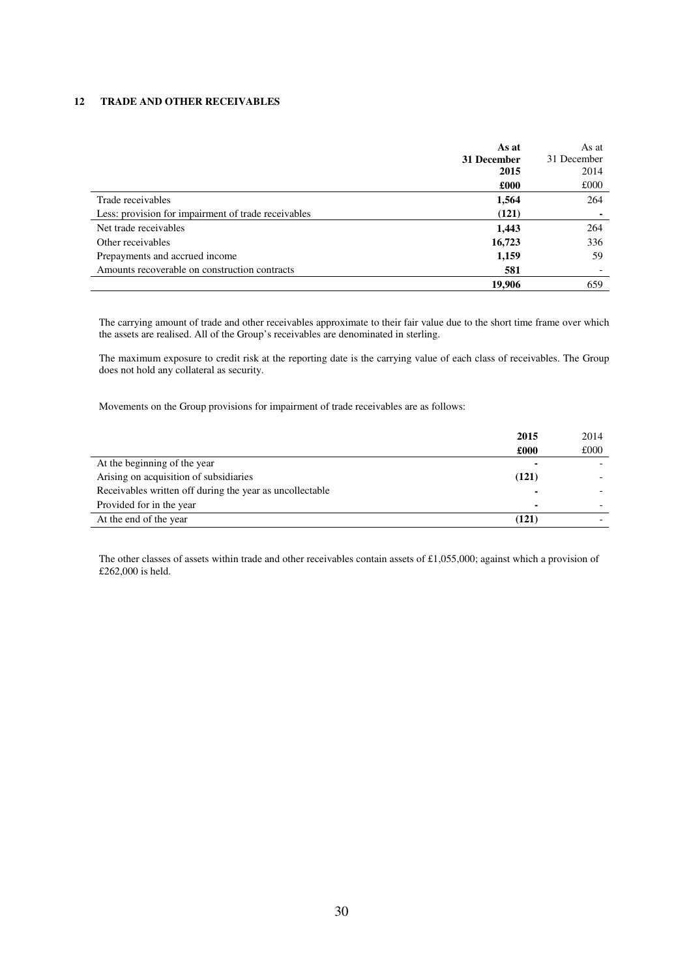### **12 TRADE AND OTHER RECEIVABLES**

|                                                     | As at<br>31 December<br>2015 | As at<br>31 December<br>2014 |
|-----------------------------------------------------|------------------------------|------------------------------|
|                                                     | £000                         | £000                         |
| Trade receivables                                   | 1,564                        | 264                          |
| Less: provision for impairment of trade receivables | (121)                        | $\blacksquare$               |
| Net trade receivables                               | 1,443                        | 264                          |
| Other receivables                                   | 16,723                       | 336                          |
| Prepayments and accrued income                      | 1,159                        | 59                           |
| Amounts recoverable on construction contracts       | 581                          |                              |
|                                                     | 19.906                       | 659                          |

The carrying amount of trade and other receivables approximate to their fair value due to the short time frame over which the assets are realised. All of the Group's receivables are denominated in sterling.

The maximum exposure to credit risk at the reporting date is the carrying value of each class of receivables. The Group does not hold any collateral as security.

Movements on the Group provisions for impairment of trade receivables are as follows:

|                                                          | 2015  | 2014 |
|----------------------------------------------------------|-------|------|
|                                                          | £000  | £000 |
| At the beginning of the year                             |       |      |
| Arising on acquisition of subsidiaries                   | (121) |      |
| Receivables written off during the year as uncollectable |       |      |
| Provided for in the year                                 |       |      |
| At the end of the year                                   | (121) |      |

The other classes of assets within trade and other receivables contain assets of £1,055,000; against which a provision of £262,000 is held.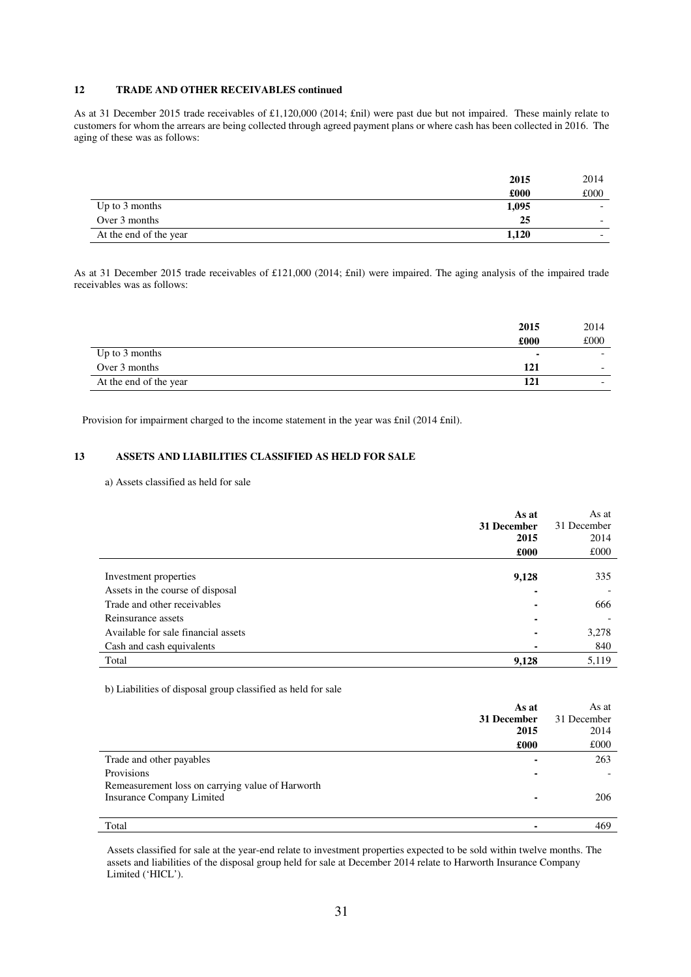## **12 TRADE AND OTHER RECEIVABLES continued**

As at 31 December 2015 trade receivables of £1,120,000 (2014; £nil) were past due but not impaired. These mainly relate to customers for whom the arrears are being collected through agreed payment plans or where cash has been collected in 2016. The aging of these was as follows:

| 2015                            | 2014 |
|---------------------------------|------|
| £000                            | £000 |
| 1,095<br>Up to 3 months         |      |
| 25<br>Over 3 months             | -    |
| At the end of the year<br>1,120 | -    |

As at 31 December 2015 trade receivables of £121,000 (2014; £nil) were impaired. The aging analysis of the impaired trade receivables was as follows:

|                        | 2015 | 2014 |
|------------------------|------|------|
|                        | £000 | £000 |
| Up to 3 months         |      |      |
| Over 3 months          | 121  |      |
| At the end of the year |      |      |

Provision for impairment charged to the income statement in the year was £nil (2014 £nil).

#### **13 ASSETS AND LIABILITIES CLASSIFIED AS HELD FOR SALE**

a) Assets classified as held for sale

|                                     | As at                    | As at       |
|-------------------------------------|--------------------------|-------------|
|                                     | 31 December              | 31 December |
|                                     | 2015                     | 2014        |
|                                     | £000                     | £000        |
|                                     |                          |             |
| Investment properties               | 9,128                    | 335         |
| Assets in the course of disposal    |                          |             |
| Trade and other receivables         |                          | 666         |
| Reinsurance assets                  |                          |             |
| Available for sale financial assets | $\overline{\phantom{0}}$ | 3,278       |
| Cash and cash equivalents           |                          | 840         |
| Total                               | 9,128                    | 5,119       |

b) Liabilities of disposal group classified as held for sale

|                                                  | As at          | As at       |
|--------------------------------------------------|----------------|-------------|
|                                                  | 31 December    | 31 December |
|                                                  | 2015           | 2014        |
|                                                  | £000           | £000        |
| Trade and other payables                         |                | 263         |
| Provisions                                       | $\blacksquare$ |             |
| Remeasurement loss on carrying value of Harworth |                |             |
| Insurance Company Limited                        |                | 206         |
|                                                  |                |             |
| Total                                            |                | 469         |

Assets classified for sale at the year-end relate to investment properties expected to be sold within twelve months. The assets and liabilities of the disposal group held for sale at December 2014 relate to Harworth Insurance Company Limited ('HICL').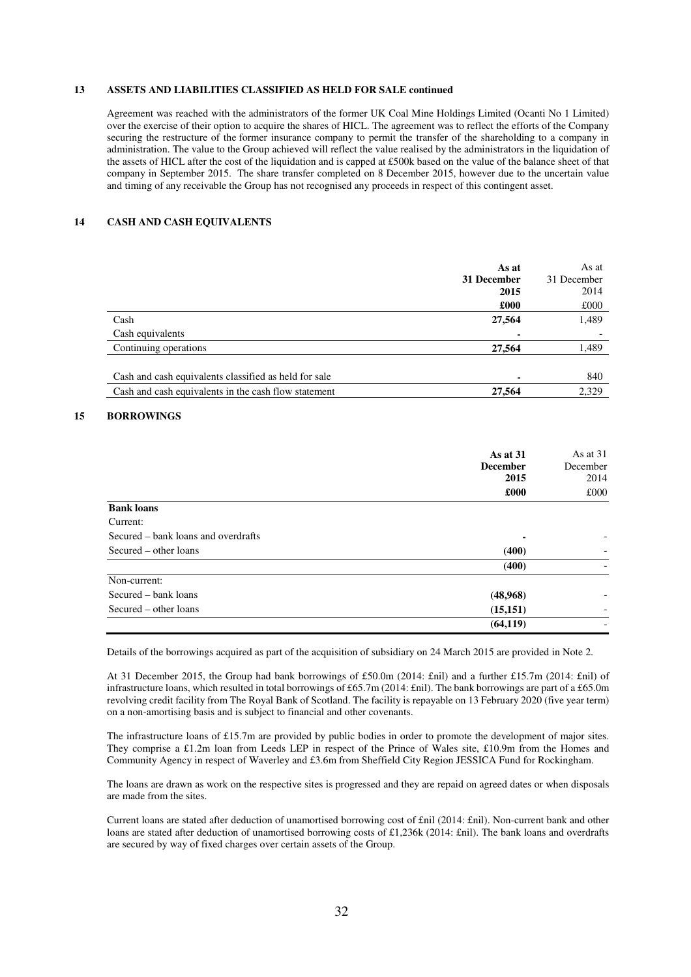### **13 ASSETS AND LIABILITIES CLASSIFIED AS HELD FOR SALE continued**

Agreement was reached with the administrators of the former UK Coal Mine Holdings Limited (Ocanti No 1 Limited) over the exercise of their option to acquire the shares of HICL. The agreement was to reflect the efforts of the Company securing the restructure of the former insurance company to permit the transfer of the shareholding to a company in administration. The value to the Group achieved will reflect the value realised by the administrators in the liquidation of the assets of HICL after the cost of the liquidation and is capped at £500k based on the value of the balance sheet of that company in September 2015. The share transfer completed on 8 December 2015, however due to the uncertain value and timing of any receivable the Group has not recognised any proceeds in respect of this contingent asset.

#### **14 CASH AND CASH EQUIVALENTS**

|                                                       | As at       | As at       |
|-------------------------------------------------------|-------------|-------------|
|                                                       | 31 December | 31 December |
|                                                       | 2015        | 2014        |
|                                                       | £000        | £000        |
| Cash                                                  | 27,564      | 1,489       |
| Cash equivalents                                      |             |             |
| Continuing operations                                 | 27,564      | 1,489       |
|                                                       |             |             |
| Cash and cash equivalents classified as held for sale |             | 840         |
| Cash and cash equivalents in the cash flow statement  | 27,564      | 2,329       |
|                                                       |             |             |

## **15 BORROWINGS**

|                                     | As at $31$<br><b>December</b><br>2015<br>£000 | As at $31$<br>December<br>2014<br>£000 |
|-------------------------------------|-----------------------------------------------|----------------------------------------|
|                                     |                                               |                                        |
| <b>Bank loans</b>                   |                                               |                                        |
| Current:                            |                                               |                                        |
| Secured – bank loans and overdrafts |                                               |                                        |
| Secured – other loans               | (400)                                         |                                        |
|                                     | (400)                                         |                                        |
| Non-current:                        |                                               |                                        |
| Secured – bank loans                | (48,968)                                      |                                        |
| Secured – other loans               | (15, 151)                                     |                                        |
|                                     | (64, 119)                                     |                                        |

Details of the borrowings acquired as part of the acquisition of subsidiary on 24 March 2015 are provided in Note 2.

At 31 December 2015, the Group had bank borrowings of £50.0m (2014: £nil) and a further £15.7m (2014: £nil) of infrastructure loans, which resulted in total borrowings of £65.7m (2014: £nil). The bank borrowings are part of a £65.0m revolving credit facility from The Royal Bank of Scotland. The facility is repayable on 13 February 2020 (five year term) on a non-amortising basis and is subject to financial and other covenants.

The infrastructure loans of £15.7m are provided by public bodies in order to promote the development of major sites. They comprise a £1.2m loan from Leeds LEP in respect of the Prince of Wales site, £10.9m from the Homes and Community Agency in respect of Waverley and £3.6m from Sheffield City Region JESSICA Fund for Rockingham.

The loans are drawn as work on the respective sites is progressed and they are repaid on agreed dates or when disposals are made from the sites.

Current loans are stated after deduction of unamortised borrowing cost of £nil (2014: £nil). Non-current bank and other loans are stated after deduction of unamortised borrowing costs of £1,236k (2014: £nil). The bank loans and overdrafts are secured by way of fixed charges over certain assets of the Group.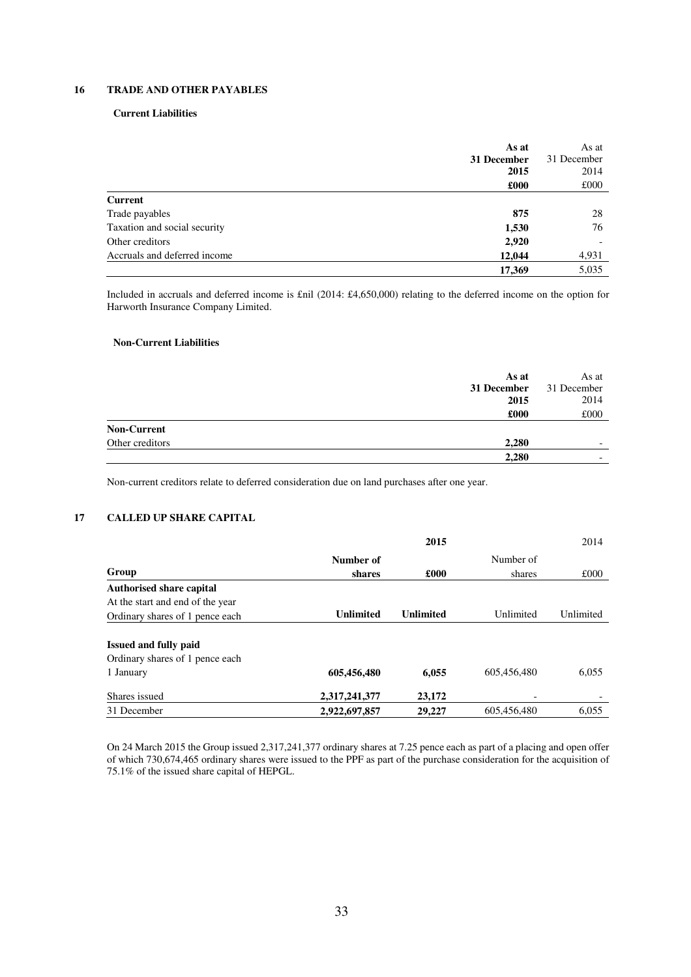## **16 TRADE AND OTHER PAYABLES**

#### **Current Liabilities**

|                              | As at       | As at       |
|------------------------------|-------------|-------------|
|                              | 31 December | 31 December |
|                              | 2015        | 2014        |
|                              | £000        | £000        |
| <b>Current</b>               |             |             |
| Trade payables               | 875         | 28          |
| Taxation and social security | 1,530       | 76          |
| Other creditors              | 2,920       |             |
| Accruals and deferred income | 12,044      | 4,931       |
|                              | 17,369      | 5,035       |

Included in accruals and deferred income is £nil (2014: £4,650,000) relating to the deferred income on the option for Harworth Insurance Company Limited.

#### **Non-Current Liabilities**

|                    | As at<br>31 December<br>2015 | As at<br>31 December<br>2014 |
|--------------------|------------------------------|------------------------------|
|                    | £000                         | £000                         |
| <b>Non-Current</b> |                              |                              |
| Other creditors    | 2,280                        | $\overline{\phantom{0}}$     |
|                    | 2,280                        | $\overline{\phantom{0}}$     |

Non-current creditors relate to deferred consideration due on land purchases after one year.

## **17 CALLED UP SHARE CAPITAL**

|                                  | 2015             |                  |             | 2014      |
|----------------------------------|------------------|------------------|-------------|-----------|
|                                  | Number of        |                  | Number of   |           |
| Group                            | shares           | £000             | shares      | £000      |
| <b>Authorised share capital</b>  |                  |                  |             |           |
| At the start and end of the year |                  |                  |             |           |
| Ordinary shares of 1 pence each  | <b>Unlimited</b> | <b>Unlimited</b> | Unlimited   | Unlimited |
|                                  |                  |                  |             |           |
| <b>Issued and fully paid</b>     |                  |                  |             |           |
| Ordinary shares of 1 pence each  |                  |                  |             |           |
| 1 January                        | 605,456,480      | 6,055            | 605.456.480 | 6,055     |
| Shares issued                    | 2,317,241,377    | 23,172           |             |           |
| 31 December                      | 2,922,697,857    | 29,227           | 605.456.480 | 6,055     |

On 24 March 2015 the Group issued 2,317,241,377 ordinary shares at 7.25 pence each as part of a placing and open offer of which 730,674,465 ordinary shares were issued to the PPF as part of the purchase consideration for the acquisition of 75.1% of the issued share capital of HEPGL.